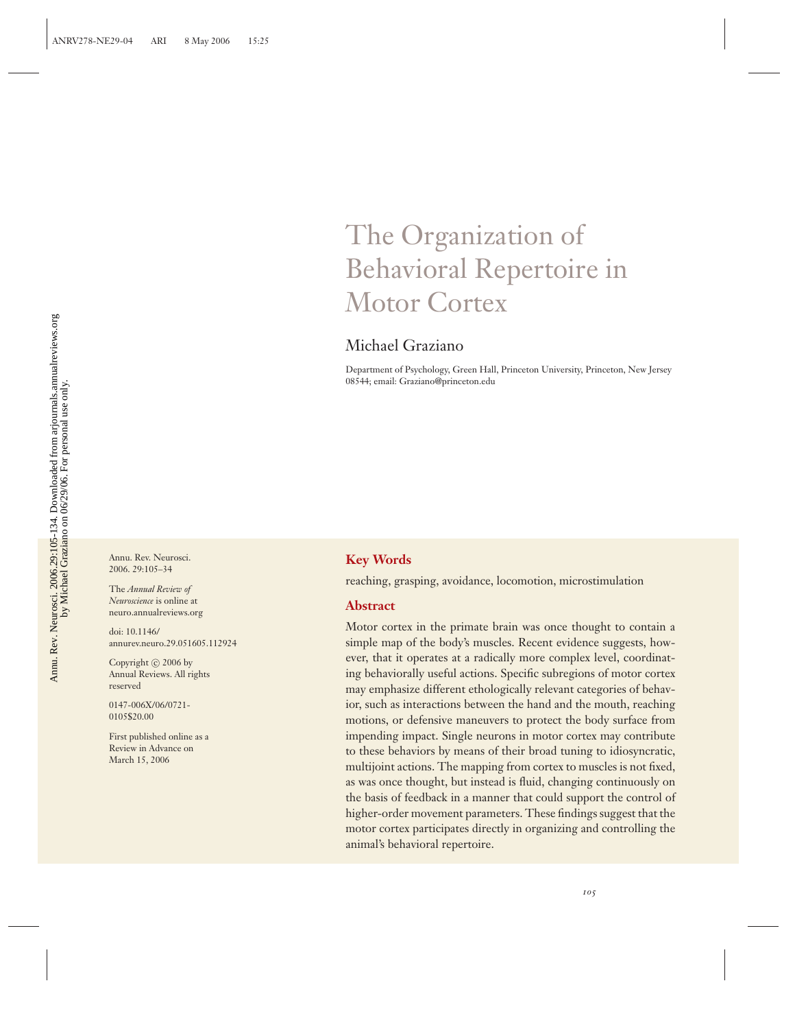# The Organization of Behavioral Repertoire in Motor Cortex

# Michael Graziano

Department of Psychology, Green Hall, Princeton University, Princeton, New Jersey 08544; email: Graziano@princeton.edu

Annu. Rev. Neurosci. 2006. 29:105–34

The *Annual Review of Neuroscience* is online at neuro.annualreviews.org

doi: 10.1146/ annurev.neuro.29.051605.112924

Copyright © 2006 by Annual Reviews. All rights reserved

0147-006X/06/0721- 0105\$20.00

First published online as a Review in Advance on March 15, 2006

## **Key Words**

reaching, grasping, avoidance, locomotion, microstimulation

## **Abstract**

Motor cortex in the primate brain was once thought to contain a simple map of the body's muscles. Recent evidence suggests, however, that it operates at a radically more complex level, coordinating behaviorally useful actions. Specific subregions of motor cortex may emphasize different ethologically relevant categories of behavior, such as interactions between the hand and the mouth, reaching motions, or defensive maneuvers to protect the body surface from impending impact. Single neurons in motor cortex may contribute to these behaviors by means of their broad tuning to idiosyncratic, multijoint actions. The mapping from cortex to muscles is not fixed, as was once thought, but instead is fluid, changing continuously on the basis of feedback in a manner that could support the control of higher-order movement parameters. These findings suggest that the motor cortex participates directly in organizing and controlling the animal's behavioral repertoire.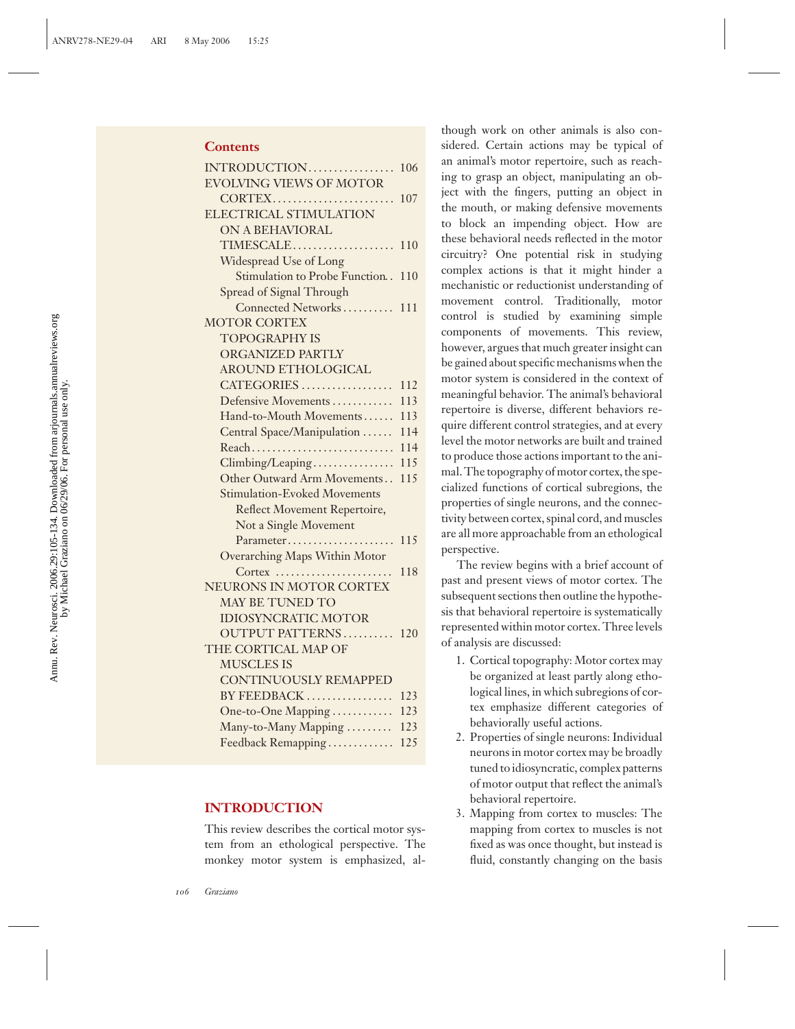## **Contents**

| INTRODUCTION                       | 106 |
|------------------------------------|-----|
| <b>EVOLVING VIEWS OF MOTOR</b>     |     |
| CORTEX                             | 107 |
| ELECTRICAL STIMULATION             |     |
| ON A BEHAVIORAL                    |     |
| TIMESCALE 110                      |     |
| Widespread Use of Long             |     |
| Stimulation to Probe Function. 110 |     |
| Spread of Signal Through           |     |
| Connected Networks 111             |     |
| <b>MOTOR CORTEX</b>                |     |
| <b>TOPOGRAPHY IS</b>               |     |
| ORGANIZED PARTLY                   |     |
| <b>AROUND ETHOLOGICAL</b>          |     |
| CATEGORIES                         | 112 |
| Defensive Movements                | 113 |
| Hand-to-Mouth Movements            | 113 |
| Central Space/Manipulation         | 114 |
| Reach                              | 114 |
| Climbing/Leaping                   | 115 |
| Other Outward Arm Movements        | 115 |
| Stimulation-Evoked Movements       |     |
| Reflect Movement Repertoire,       |     |
| Not a Single Movement              |     |
| Parameter                          | 115 |
| Overarching Maps Within Motor      |     |
| Cortex                             | 118 |
| NEURONS IN MOTOR CORTEX            |     |
| <b>MAY BE TUNED TO</b>             |     |
| <b>IDIOSYNCRATIC MOTOR</b>         |     |
| OUTPUT PATTERNS                    | 120 |
| THE CORTICAL MAP OF                |     |
| <b>MUSCLES IS</b>                  |     |
| <b>CONTINUOUSLY REMAPPED</b>       |     |
| BY FEEDBACK                        | 123 |
| One-to-One Mapping                 | 123 |
| Many-to-Many Mapping               | 123 |
| Feedback Remapping                 | 125 |

## **INTRODUCTION**

This review describes the cortical motor system from an ethological perspective. The monkey motor system is emphasized, although work on other animals is also considered. Certain actions may be typical of an animal's motor repertoire, such as reaching to grasp an object, manipulating an object with the fingers, putting an object in the mouth, or making defensive movements to block an impending object. How are these behavioral needs reflected in the motor circuitry? One potential risk in studying complex actions is that it might hinder a mechanistic or reductionist understanding of movement control. Traditionally, motor control is studied by examining simple components of movements. This review, however, argues that much greater insight can be gained about specific mechanisms when the motor system is considered in the context of meaningful behavior. The animal's behavioral repertoire is diverse, different behaviors require different control strategies, and at every level the motor networks are built and trained to produce those actions important to the animal. The topography of motor cortex, the specialized functions of cortical subregions, the properties of single neurons, and the connectivity between cortex, spinal cord, and muscles are all more approachable from an ethological perspective.

The review begins with a brief account of past and present views of motor cortex. The subsequent sections then outline the hypothesis that behavioral repertoire is systematically represented within motor cortex. Three levels of analysis are discussed:

- 1. Cortical topography: Motor cortex may be organized at least partly along ethological lines, in which subregions of cortex emphasize different categories of behaviorally useful actions.
- 2. Properties of single neurons: Individual neurons in motor cortex may be broadly tuned to idiosyncratic, complex patterns of motor output that reflect the animal's behavioral repertoire.
- 3. Mapping from cortex to muscles: The mapping from cortex to muscles is not fixed as was once thought, but instead is fluid, constantly changing on the basis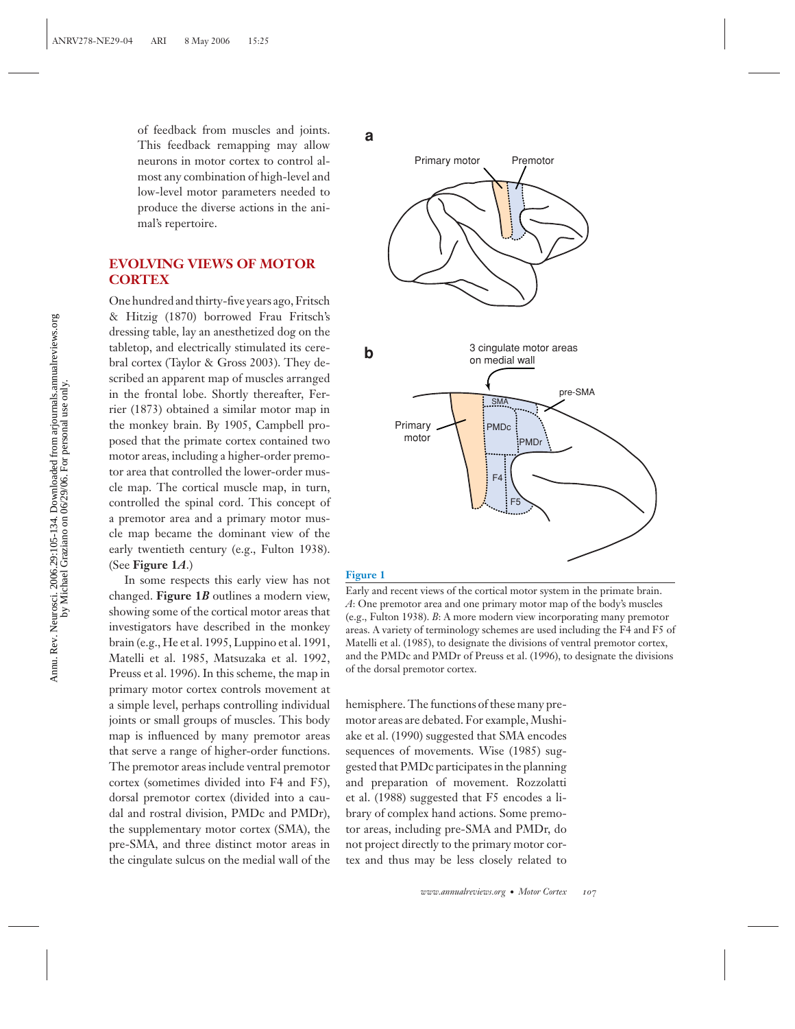of feedback from muscles and joints. This feedback remapping may allow neurons in motor cortex to control almost any combination of high-level and low-level motor parameters needed to produce the diverse actions in the animal's repertoire.

# **EVOLVING VIEWS OF MOTOR CORTEX**

One hundred and thirty-five years ago, Fritsch & Hitzig (1870) borrowed Frau Fritsch's dressing table, lay an anesthetized dog on the tabletop, and electrically stimulated its cerebral cortex (Taylor & Gross 2003). They described an apparent map of muscles arranged in the frontal lobe. Shortly thereafter, Ferrier (1873) obtained a similar motor map in the monkey brain. By 1905, Campbell proposed that the primate cortex contained two motor areas, including a higher-order premotor area that controlled the lower-order muscle map. The cortical muscle map, in turn, controlled the spinal cord. This concept of a premotor area and a primary motor muscle map became the dominant view of the early twentieth century (e.g., Fulton 1938). (See **Figure 1***A*.)

In some respects this early view has not changed. **Figure 1***B* outlines a modern view, showing some of the cortical motor areas that investigators have described in the monkey brain (e.g., He et al. 1995, Luppino et al. 1991, Matelli et al. 1985, Matsuzaka et al. 1992, Preuss et al. 1996). In this scheme, the map in primary motor cortex controls movement at a simple level, perhaps controlling individual joints or small groups of muscles. This body map is influenced by many premotor areas that serve a range of higher-order functions. The premotor areas include ventral premotor cortex (sometimes divided into F4 and F5), dorsal premotor cortex (divided into a caudal and rostral division, PMDc and PMDr), the supplementary motor cortex (SMA), the pre-SMA, and three distinct motor areas in the cingulate sulcus on the medial wall of the



#### **Figure 1**

**a**

Early and recent views of the cortical motor system in the primate brain. *A*: One premotor area and one primary motor map of the body's muscles (e.g., Fulton 1938). *B*: A more modern view incorporating many premotor areas. A variety of terminology schemes are used including the F4 and F5 of Matelli et al. (1985), to designate the divisions of ventral premotor cortex, and the PMDc and PMDr of Preuss et al. (1996), to designate the divisions of the dorsal premotor cortex.

hemisphere. The functions of these many premotor areas are debated. For example, Mushiake et al. (1990) suggested that SMA encodes sequences of movements. Wise (1985) suggested that PMDc participates in the planning and preparation of movement. Rozzolatti et al. (1988) suggested that F5 encodes a library of complex hand actions. Some premotor areas, including pre-SMA and PMDr, do not project directly to the primary motor cortex and thus may be less closely related to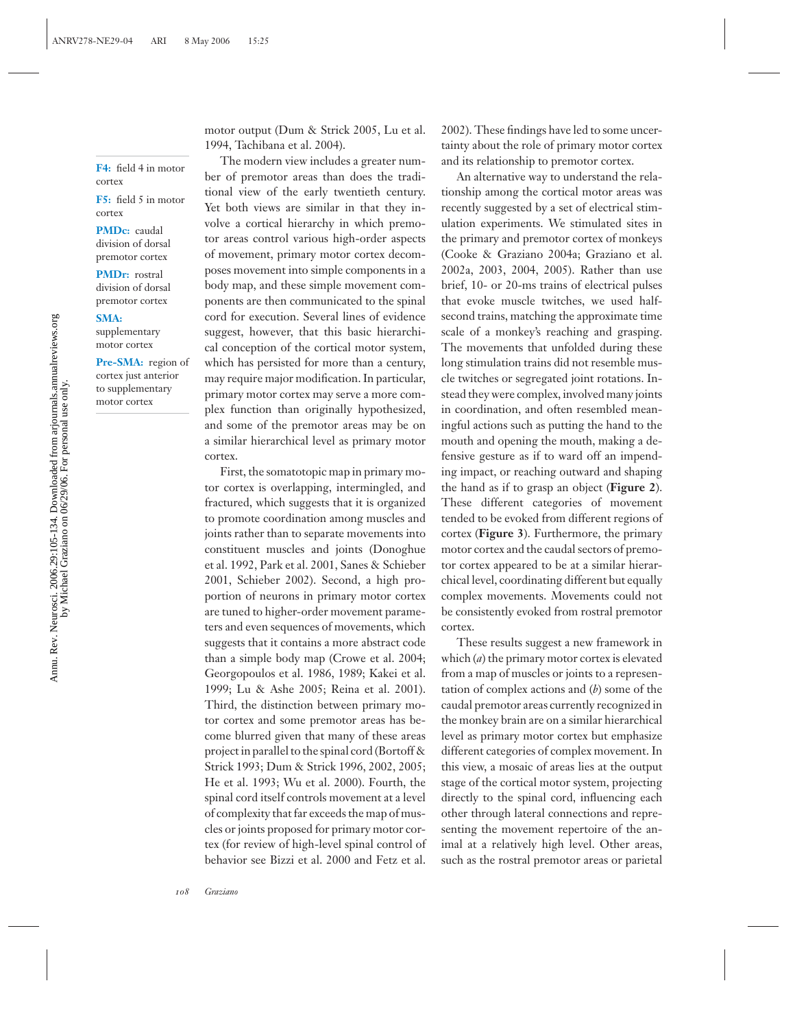**F4:** field 4 in motor cortex

**F5:** field 5 in motor cortex

**PMDc:** caudal division of dorsal premotor cortex

#### **PMDr:** rostral division of dorsal premotor cortex

#### **SMA:**

supplementary motor cortex

**Pre-SMA:** region of cortex just anterior to supplementary motor cortex

motor output (Dum & Strick 2005, Lu et al. 1994, Tachibana et al. 2004).

The modern view includes a greater number of premotor areas than does the traditional view of the early twentieth century. Yet both views are similar in that they involve a cortical hierarchy in which premotor areas control various high-order aspects of movement, primary motor cortex decomposes movement into simple components in a body map, and these simple movement components are then communicated to the spinal cord for execution. Several lines of evidence suggest, however, that this basic hierarchical conception of the cortical motor system, which has persisted for more than a century, may require major modification. In particular, primary motor cortex may serve a more complex function than originally hypothesized, and some of the premotor areas may be on a similar hierarchical level as primary motor cortex.

First, the somatotopic map in primary motor cortex is overlapping, intermingled, and fractured, which suggests that it is organized to promote coordination among muscles and joints rather than to separate movements into constituent muscles and joints (Donoghue et al. 1992, Park et al. 2001, Sanes & Schieber 2001, Schieber 2002). Second, a high proportion of neurons in primary motor cortex are tuned to higher-order movement parameters and even sequences of movements, which suggests that it contains a more abstract code than a simple body map (Crowe et al. 2004; Georgopoulos et al. 1986, 1989; Kakei et al. 1999; Lu & Ashe 2005; Reina et al. 2001). Third, the distinction between primary motor cortex and some premotor areas has become blurred given that many of these areas project in parallel to the spinal cord (Bortoff & Strick 1993; Dum & Strick 1996, 2002, 2005; He et al. 1993; Wu et al. 2000). Fourth, the spinal cord itself controls movement at a level of complexity that far exceeds the map of muscles or joints proposed for primary motor cortex (for review of high-level spinal control of behavior see Bizzi et al. 2000 and Fetz et al.

2002). These findings have led to some uncertainty about the role of primary motor cortex and its relationship to premotor cortex.

An alternative way to understand the relationship among the cortical motor areas was recently suggested by a set of electrical stimulation experiments. We stimulated sites in the primary and premotor cortex of monkeys (Cooke & Graziano 2004a; Graziano et al. 2002a, 2003, 2004, 2005). Rather than use brief, 10- or 20-ms trains of electrical pulses that evoke muscle twitches, we used halfsecond trains, matching the approximate time scale of a monkey's reaching and grasping. The movements that unfolded during these long stimulation trains did not resemble muscle twitches or segregated joint rotations. Instead they were complex, involved many joints in coordination, and often resembled meaningful actions such as putting the hand to the mouth and opening the mouth, making a defensive gesture as if to ward off an impending impact, or reaching outward and shaping the hand as if to grasp an object (**Figure 2**). These different categories of movement tended to be evoked from different regions of cortex (**Figure 3**). Furthermore, the primary motor cortex and the caudal sectors of premotor cortex appeared to be at a similar hierarchical level, coordinating different but equally complex movements. Movements could not be consistently evoked from rostral premotor cortex.

These results suggest a new framework in which (*a*) the primary motor cortex is elevated from a map of muscles or joints to a representation of complex actions and (*b*) some of the caudal premotor areas currently recognized in the monkey brain are on a similar hierarchical level as primary motor cortex but emphasize different categories of complex movement. In this view, a mosaic of areas lies at the output stage of the cortical motor system, projecting directly to the spinal cord, influencing each other through lateral connections and representing the movement repertoire of the animal at a relatively high level. Other areas, such as the rostral premotor areas or parietal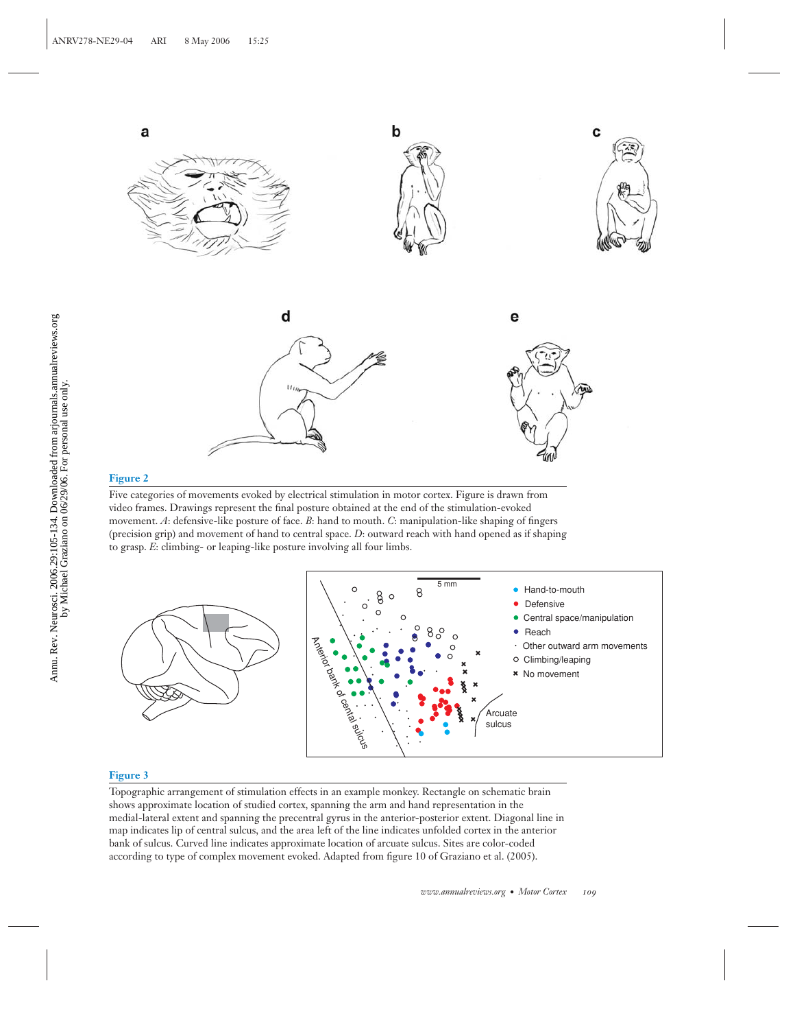

Five categories of movements evoked by electrical stimulation in motor cortex. Figure is drawn from video frames. Drawings represent the final posture obtained at the end of the stimulation-evoked movement. *A*: defensive-like posture of face. *B*: hand to mouth. *C*: manipulation-like shaping of fingers (precision grip) and movement of hand to central space. *D*: outward reach with hand opened as if shaping to grasp. *E*: climbing- or leaping-like posture involving all four limbs.



## **Figure 3**

Topographic arrangement of stimulation effects in an example monkey. Rectangle on schematic brain shows approximate location of studied cortex, spanning the arm and hand representation in the medial-lateral extent and spanning the precentral gyrus in the anterior-posterior extent. Diagonal line in map indicates lip of central sulcus, and the area left of the line indicates unfolded cortex in the anterior bank of sulcus. Curved line indicates approximate location of arcuate sulcus. Sites are color-coded according to type of complex movement evoked. Adapted from figure 10 of Graziano et al. (2005).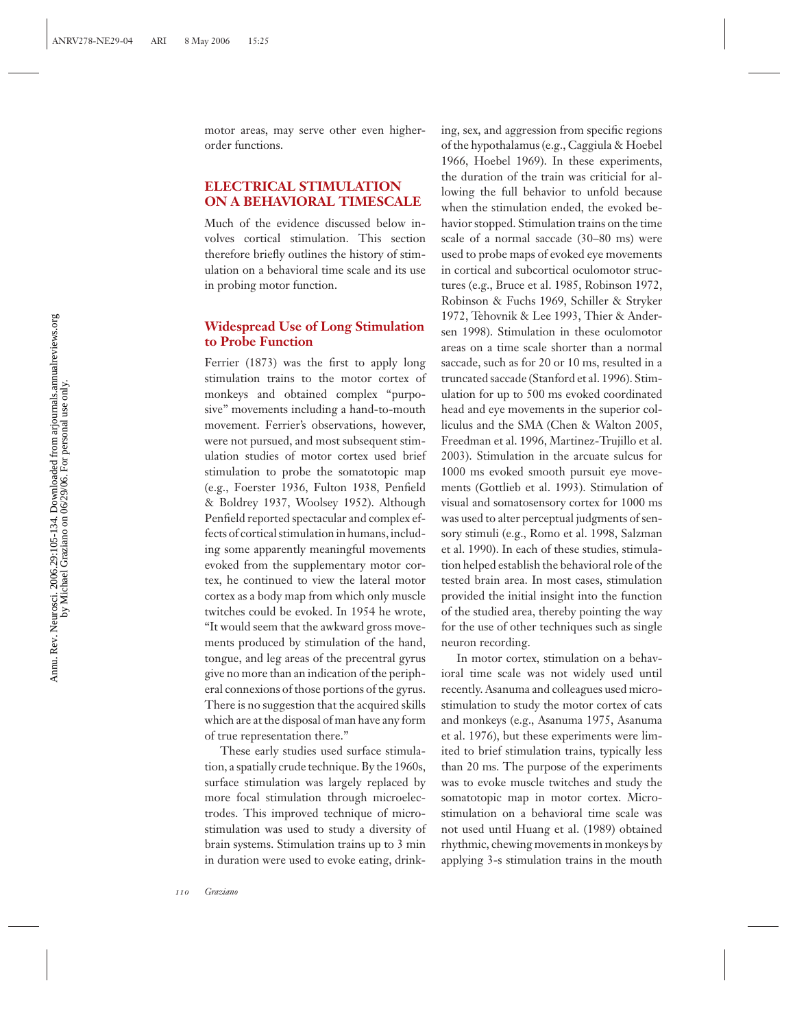motor areas, may serve other even higherorder functions.

# **ELECTRICAL STIMULATION ON A BEHAVIORAL TIMESCALE**

Much of the evidence discussed below involves cortical stimulation. This section therefore briefly outlines the history of stimulation on a behavioral time scale and its use in probing motor function.

## **Widespread Use of Long Stimulation to Probe Function**

Ferrier (1873) was the first to apply long stimulation trains to the motor cortex of monkeys and obtained complex "purposive" movements including a hand-to-mouth movement. Ferrier's observations, however, were not pursued, and most subsequent stimulation studies of motor cortex used brief stimulation to probe the somatotopic map (e.g., Foerster 1936, Fulton 1938, Penfield & Boldrey 1937, Woolsey 1952). Although Penfield reported spectacular and complex effects of cortical stimulation in humans, including some apparently meaningful movements evoked from the supplementary motor cortex, he continued to view the lateral motor cortex as a body map from which only muscle twitches could be evoked. In 1954 he wrote, "It would seem that the awkward gross movements produced by stimulation of the hand, tongue, and leg areas of the precentral gyrus give no more than an indication of the peripheral connexions of those portions of the gyrus. There is no suggestion that the acquired skills which are at the disposal of man have any form of true representation there."

These early studies used surface stimulation, a spatially crude technique. By the 1960s, surface stimulation was largely replaced by more focal stimulation through microelectrodes. This improved technique of microstimulation was used to study a diversity of brain systems. Stimulation trains up to 3 min in duration were used to evoke eating, drinking, sex, and aggression from specific regions of the hypothalamus (e.g., Caggiula & Hoebel 1966, Hoebel 1969). In these experiments, the duration of the train was criticial for allowing the full behavior to unfold because when the stimulation ended, the evoked behavior stopped. Stimulation trains on the time scale of a normal saccade (30–80 ms) were used to probe maps of evoked eye movements in cortical and subcortical oculomotor structures (e.g., Bruce et al. 1985, Robinson 1972, Robinson & Fuchs 1969, Schiller & Stryker 1972, Tehovnik & Lee 1993, Thier & Andersen 1998). Stimulation in these oculomotor areas on a time scale shorter than a normal saccade, such as for 20 or 10 ms, resulted in a truncated saccade (Stanford et al. 1996). Stimulation for up to 500 ms evoked coordinated head and eye movements in the superior colliculus and the SMA (Chen & Walton 2005, Freedman et al. 1996, Martinez-Trujillo et al. 2003). Stimulation in the arcuate sulcus for 1000 ms evoked smooth pursuit eye movements (Gottlieb et al. 1993). Stimulation of visual and somatosensory cortex for 1000 ms was used to alter perceptual judgments of sensory stimuli (e.g., Romo et al. 1998, Salzman et al. 1990). In each of these studies, stimulation helped establish the behavioral role of the tested brain area. In most cases, stimulation provided the initial insight into the function of the studied area, thereby pointing the way for the use of other techniques such as single neuron recording.

In motor cortex, stimulation on a behavioral time scale was not widely used until recently. Asanuma and colleagues used microstimulation to study the motor cortex of cats and monkeys (e.g., Asanuma 1975, Asanuma et al. 1976), but these experiments were limited to brief stimulation trains, typically less than 20 ms. The purpose of the experiments was to evoke muscle twitches and study the somatotopic map in motor cortex. Microstimulation on a behavioral time scale was not used until Huang et al. (1989) obtained rhythmic, chewing movements in monkeys by applying 3-s stimulation trains in the mouth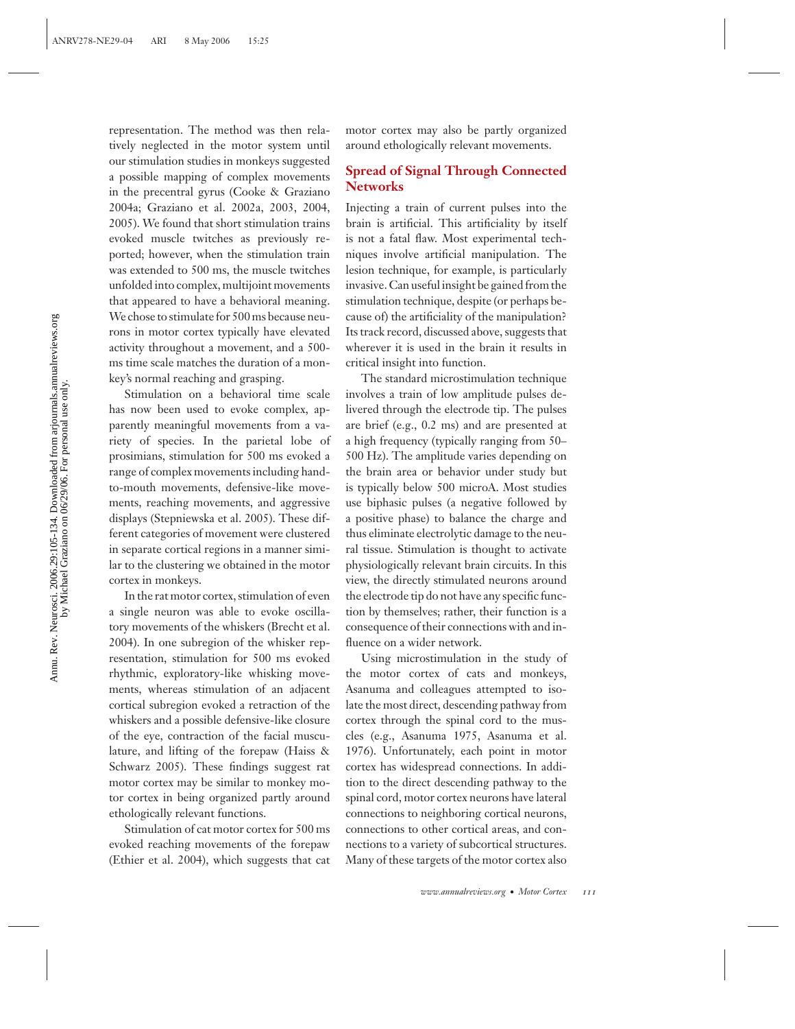representation. The method was then relatively neglected in the motor system until our stimulation studies in monkeys suggested a possible mapping of complex movements in the precentral gyrus (Cooke & Graziano 2004a; Graziano et al. 2002a, 2003, 2004, 2005). We found that short stimulation trains evoked muscle twitches as previously reported; however, when the stimulation train was extended to 500 ms, the muscle twitches unfolded into complex, multijoint movements that appeared to have a behavioral meaning. We chose to stimulate for 500 ms because neurons in motor cortex typically have elevated activity throughout a movement, and a 500 ms time scale matches the duration of a monkey's normal reaching and grasping.

Stimulation on a behavioral time scale has now been used to evoke complex, apparently meaningful movements from a variety of species. In the parietal lobe of prosimians, stimulation for 500 ms evoked a range of complex movements including handto-mouth movements, defensive-like movements, reaching movements, and aggressive displays (Stepniewska et al. 2005). These different categories of movement were clustered in separate cortical regions in a manner similar to the clustering we obtained in the motor cortex in monkeys.

In the rat motor cortex, stimulation of even a single neuron was able to evoke oscillatory movements of the whiskers (Brecht et al. 2004). In one subregion of the whisker representation, stimulation for 500 ms evoked rhythmic, exploratory-like whisking movements, whereas stimulation of an adjacent cortical subregion evoked a retraction of the whiskers and a possible defensive-like closure of the eye, contraction of the facial musculature, and lifting of the forepaw (Haiss & Schwarz 2005). These findings suggest rat motor cortex may be similar to monkey motor cortex in being organized partly around ethologically relevant functions.

Stimulation of cat motor cortex for 500 ms evoked reaching movements of the forepaw (Ethier et al. 2004), which suggests that cat motor cortex may also be partly organized around ethologically relevant movements.

## **Spread of Signal Through Connected Networks**

Injecting a train of current pulses into the brain is artificial. This artificiality by itself is not a fatal flaw. Most experimental techniques involve artificial manipulation. The lesion technique, for example, is particularly invasive. Can useful insight be gained from the stimulation technique, despite (or perhaps because of) the artificiality of the manipulation? Its track record, discussed above, suggests that wherever it is used in the brain it results in critical insight into function.

The standard microstimulation technique involves a train of low amplitude pulses delivered through the electrode tip. The pulses are brief (e.g., 0.2 ms) and are presented at a high frequency (typically ranging from 50– 500 Hz). The amplitude varies depending on the brain area or behavior under study but is typically below 500 microA. Most studies use biphasic pulses (a negative followed by a positive phase) to balance the charge and thus eliminate electrolytic damage to the neural tissue. Stimulation is thought to activate physiologically relevant brain circuits. In this view, the directly stimulated neurons around the electrode tip do not have any specific function by themselves; rather, their function is a consequence of their connections with and influence on a wider network.

Using microstimulation in the study of the motor cortex of cats and monkeys, Asanuma and colleagues attempted to isolate the most direct, descending pathway from cortex through the spinal cord to the muscles (e.g., Asanuma 1975, Asanuma et al. 1976). Unfortunately, each point in motor cortex has widespread connections. In addition to the direct descending pathway to the spinal cord, motor cortex neurons have lateral connections to neighboring cortical neurons, connections to other cortical areas, and connections to a variety of subcortical structures. Many of these targets of the motor cortex also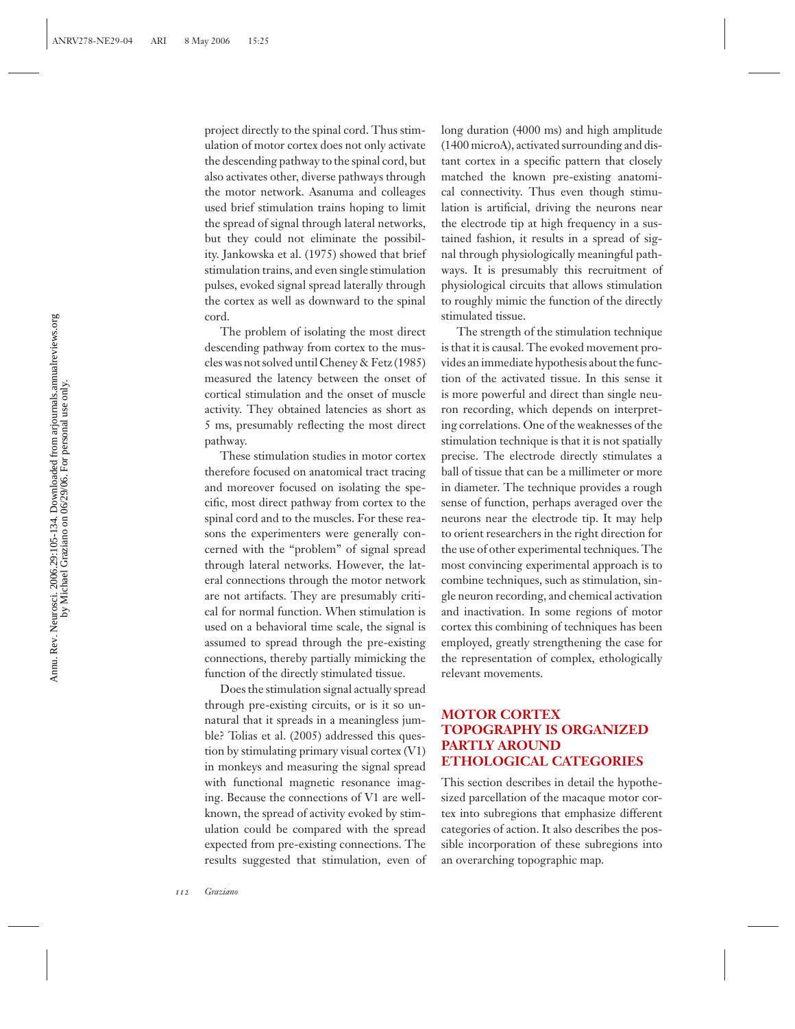project directly to the spinal cord. Thus stimulation of motor cortex does not only activate the descending pathway to the spinal cord, but also activates other, diverse pathways through the motor network. Asanuma and colleages used brief stimulation trains hoping to limit the spread of signal through lateral networks, but they could not eliminate the possibility. Jankowska et al. (1975) showed that brief stimulation trains, and even single stimulation pulses, evoked signal spread laterally through the cortex as well as downward to the spinal cord.

The problem of isolating the most direct descending pathway from cortex to the muscles was not solved until Cheney & Fetz (1985) measured the latency between the onset of cortical stimulation and the onset of muscle activity. They obtained latencies as short as 5 ms, presumably reflecting the most direct pathway.

These stimulation studies in motor cortex therefore focused on anatomical tract tracing and moreover focused on isolating the specific, most direct pathway from cortex to the spinal cord and to the muscles. For these reasons the experimenters were generally concerned with the "problem" of signal spread through lateral networks. However, the lateral connections through the motor network are not artifacts. They are presumably critical for normal function. When stimulation is used on a behavioral time scale, the signal is assumed to spread through the pre-existing connections, thereby partially mimicking the function of the directly stimulated tissue.

Does the stimulation signal actually spread through pre-existing circuits, or is it so unnatural that it spreads in a meaningless jumble? Tolias et al. (2005) addressed this question by stimulating primary visual cortex (V1) in monkeys and measuring the signal spread with functional magnetic resonance imaging. Because the connections of V1 are wellknown, the spread of activity evoked by stimulation could be compared with the spread expected from pre-existing connections. The results suggested that stimulation, even of long duration (4000 ms) and high amplitude (1400 microA), activated surrounding and distant cortex in a specific pattern that closely matched the known pre-existing anatomical connectivity. Thus even though stimulation is artificial, driving the neurons near the electrode tip at high frequency in a sustained fashion, it results in a spread of signal through physiologically meaningful pathways. It is presumably this recruitment of physiological circuits that allows stimulation to roughly mimic the function of the directly stimulated tissue.

The strength of the stimulation technique is that it is causal. The evoked movement provides an immediate hypothesis about the function of the activated tissue. In this sense it is more powerful and direct than single neuron recording, which depends on interpreting correlations. One of the weaknesses of the stimulation technique is that it is not spatially precise. The electrode directly stimulates a ball of tissue that can be a millimeter or more in diameter. The technique provides a rough sense of function, perhaps averaged over the neurons near the electrode tip. It may help to orient researchers in the right direction for the use of other experimental techniques. The most convincing experimental approach is to combine techniques, such as stimulation, single neuron recording, and chemical activation and inactivation. In some regions of motor cortex this combining of techniques has been employed, greatly strengthening the case for the representation of complex, ethologically relevant movements.

# **MOTOR CORTEX TOPOGRAPHY IS ORGANIZED PARTLY AROUND ETHOLOGICAL CATEGORIES**

This section describes in detail the hypothesized parcellation of the macaque motor cortex into subregions that emphasize different categories of action. It also describes the possible incorporation of these subregions into an overarching topographic map.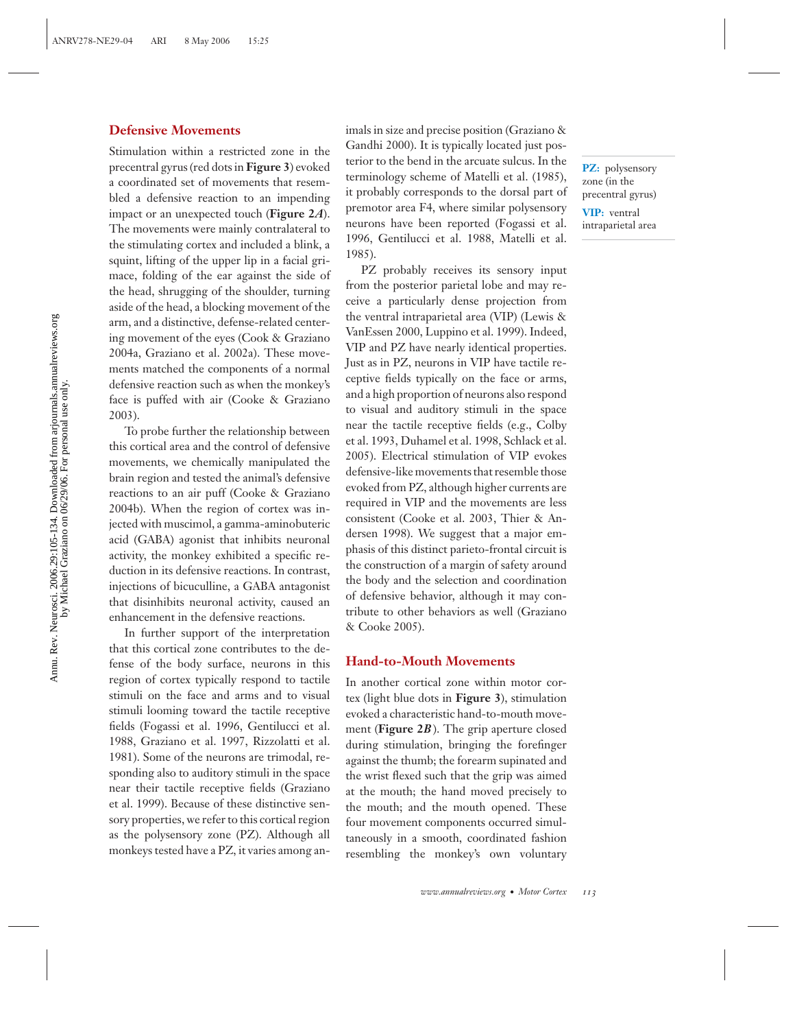## **Defensive Movements**

Stimulation within a restricted zone in the precentral gyrus (red dots in **Figure 3**) evoked a coordinated set of movements that resembled a defensive reaction to an impending impact or an unexpected touch (**Figure 2***A*). The movements were mainly contralateral to the stimulating cortex and included a blink, a squint, lifting of the upper lip in a facial grimace, folding of the ear against the side of the head, shrugging of the shoulder, turning aside of the head, a blocking movement of the arm, and a distinctive, defense-related centering movement of the eyes (Cook & Graziano 2004a, Graziano et al. 2002a). These movements matched the components of a normal defensive reaction such as when the monkey's face is puffed with air (Cooke & Graziano 2003).

To probe further the relationship between this cortical area and the control of defensive movements, we chemically manipulated the brain region and tested the animal's defensive reactions to an air puff (Cooke & Graziano 2004b). When the region of cortex was injected with muscimol, a gamma-aminobuteric acid (GABA) agonist that inhibits neuronal activity, the monkey exhibited a specific reduction in its defensive reactions. In contrast, injections of bicuculline, a GABA antagonist that disinhibits neuronal activity, caused an enhancement in the defensive reactions.

In further support of the interpretation that this cortical zone contributes to the defense of the body surface, neurons in this region of cortex typically respond to tactile stimuli on the face and arms and to visual stimuli looming toward the tactile receptive fields (Fogassi et al. 1996, Gentilucci et al. 1988, Graziano et al. 1997, Rizzolatti et al. 1981). Some of the neurons are trimodal, responding also to auditory stimuli in the space near their tactile receptive fields (Graziano et al. 1999). Because of these distinctive sensory properties, we refer to this cortical region as the polysensory zone (PZ). Although all monkeys tested have a PZ, it varies among animals in size and precise position (Graziano & Gandhi 2000). It is typically located just posterior to the bend in the arcuate sulcus. In the terminology scheme of Matelli et al. (1985), it probably corresponds to the dorsal part of premotor area F4, where similar polysensory neurons have been reported (Fogassi et al. 1996, Gentilucci et al. 1988, Matelli et al. 1985).

PZ probably receives its sensory input from the posterior parietal lobe and may receive a particularly dense projection from the ventral intraparietal area (VIP) (Lewis & VanEssen 2000, Luppino et al. 1999). Indeed, VIP and PZ have nearly identical properties. Just as in PZ, neurons in VIP have tactile receptive fields typically on the face or arms, and a high proportion of neurons also respond to visual and auditory stimuli in the space near the tactile receptive fields (e.g., Colby et al. 1993, Duhamel et al. 1998, Schlack et al. 2005). Electrical stimulation of VIP evokes defensive-like movements that resemble those evoked from PZ, although higher currents are required in VIP and the movements are less consistent (Cooke et al. 2003, Thier & Andersen 1998). We suggest that a major emphasis of this distinct parieto-frontal circuit is the construction of a margin of safety around the body and the selection and coordination of defensive behavior, although it may contribute to other behaviors as well (Graziano & Cooke 2005).

#### **Hand-to-Mouth Movements**

In another cortical zone within motor cortex (light blue dots in **Figure 3**), stimulation evoked a characteristic hand-to-mouth movement (**Figure 2***B* ). The grip aperture closed during stimulation, bringing the forefinger against the thumb; the forearm supinated and the wrist flexed such that the grip was aimed at the mouth; the hand moved precisely to the mouth; and the mouth opened. These four movement components occurred simultaneously in a smooth, coordinated fashion resembling the monkey's own voluntary **PZ:** polysensory zone (in the precentral gyrus)

**VIP:** ventral intraparietal area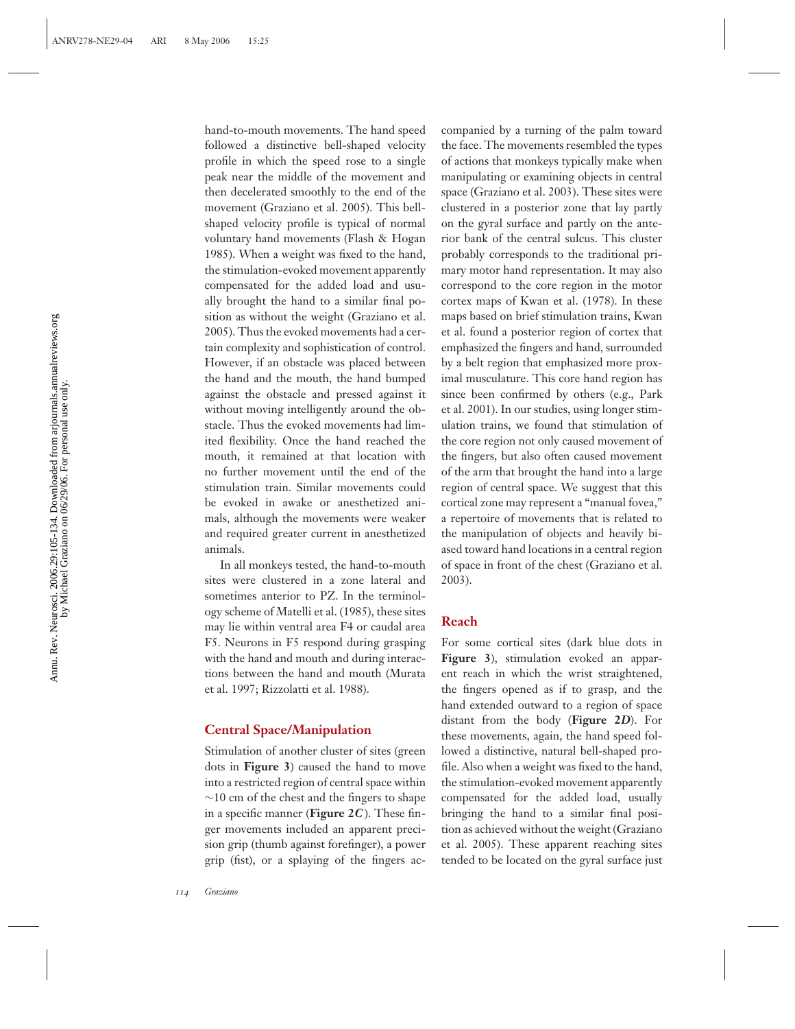hand-to-mouth movements. The hand speed followed a distinctive bell-shaped velocity profile in which the speed rose to a single peak near the middle of the movement and then decelerated smoothly to the end of the movement (Graziano et al. 2005). This bellshaped velocity profile is typical of normal voluntary hand movements (Flash & Hogan 1985). When a weight was fixed to the hand, the stimulation-evoked movement apparently compensated for the added load and usually brought the hand to a similar final position as without the weight (Graziano et al. 2005). Thus the evoked movements had a certain complexity and sophistication of control. However, if an obstacle was placed between the hand and the mouth, the hand bumped against the obstacle and pressed against it without moving intelligently around the obstacle. Thus the evoked movements had limited flexibility. Once the hand reached the mouth, it remained at that location with no further movement until the end of the stimulation train. Similar movements could be evoked in awake or anesthetized animals, although the movements were weaker and required greater current in anesthetized animals.

In all monkeys tested, the hand-to-mouth sites were clustered in a zone lateral and sometimes anterior to PZ. In the terminology scheme of Matelli et al. (1985), these sites may lie within ventral area F4 or caudal area F5. Neurons in F5 respond during grasping with the hand and mouth and during interactions between the hand and mouth (Murata et al. 1997; Rizzolatti et al. 1988).

#### **Central Space/Manipulation**

Stimulation of another cluster of sites (green dots in **Figure 3**) caused the hand to move into a restricted region of central space within  $∼10$  cm of the chest and the fingers to shape in a specific manner (**Figure 2***C*). These finger movements included an apparent precision grip (thumb against forefinger), a power grip (fist), or a splaying of the fingers accompanied by a turning of the palm toward the face. The movements resembled the types of actions that monkeys typically make when manipulating or examining objects in central space (Graziano et al. 2003). These sites were clustered in a posterior zone that lay partly on the gyral surface and partly on the anterior bank of the central sulcus. This cluster probably corresponds to the traditional primary motor hand representation. It may also correspond to the core region in the motor cortex maps of Kwan et al. (1978). In these maps based on brief stimulation trains, Kwan et al. found a posterior region of cortex that emphasized the fingers and hand, surrounded by a belt region that emphasized more proximal musculature. This core hand region has since been confirmed by others (e.g., Park et al. 2001). In our studies, using longer stimulation trains, we found that stimulation of the core region not only caused movement of the fingers, but also often caused movement of the arm that brought the hand into a large region of central space. We suggest that this cortical zone may represent a "manual fovea," a repertoire of movements that is related to the manipulation of objects and heavily biased toward hand locations in a central region of space in front of the chest (Graziano et al. 2003).

## **Reach**

For some cortical sites (dark blue dots in **Figure 3**), stimulation evoked an apparent reach in which the wrist straightened, the fingers opened as if to grasp, and the hand extended outward to a region of space distant from the body (**Figure 2***D*). For these movements, again, the hand speed followed a distinctive, natural bell-shaped profile. Also when a weight was fixed to the hand, the stimulation-evoked movement apparently compensated for the added load, usually bringing the hand to a similar final position as achieved without the weight (Graziano et al. 2005). These apparent reaching sites tended to be located on the gyral surface just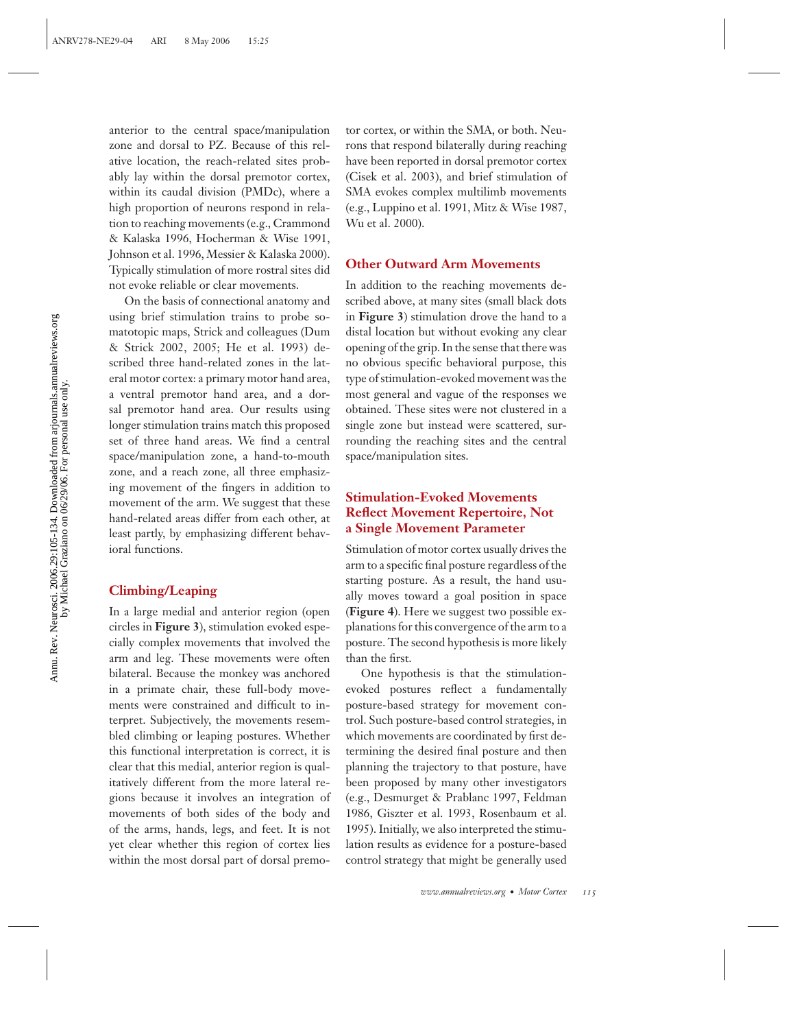anterior to the central space/manipulation zone and dorsal to PZ. Because of this relative location, the reach-related sites probably lay within the dorsal premotor cortex, within its caudal division (PMDc), where a high proportion of neurons respond in relation to reaching movements (e.g., Crammond & Kalaska 1996, Hocherman & Wise 1991, Johnson et al. 1996, Messier & Kalaska 2000). Typically stimulation of more rostral sites did not evoke reliable or clear movements.

On the basis of connectional anatomy and using brief stimulation trains to probe somatotopic maps, Strick and colleagues (Dum & Strick 2002, 2005; He et al. 1993) described three hand-related zones in the lateral motor cortex: a primary motor hand area, a ventral premotor hand area, and a dorsal premotor hand area. Our results using longer stimulation trains match this proposed set of three hand areas. We find a central space/manipulation zone, a hand-to-mouth zone, and a reach zone, all three emphasizing movement of the fingers in addition to movement of the arm. We suggest that these hand-related areas differ from each other, at least partly, by emphasizing different behavioral functions.

## **Climbing/Leaping**

In a large medial and anterior region (open circles in **Figure 3**), stimulation evoked especially complex movements that involved the arm and leg. These movements were often bilateral. Because the monkey was anchored in a primate chair, these full-body movements were constrained and difficult to interpret. Subjectively, the movements resembled climbing or leaping postures. Whether this functional interpretation is correct, it is clear that this medial, anterior region is qualitatively different from the more lateral regions because it involves an integration of movements of both sides of the body and of the arms, hands, legs, and feet. It is not yet clear whether this region of cortex lies within the most dorsal part of dorsal premo-

tor cortex, or within the SMA, or both. Neurons that respond bilaterally during reaching have been reported in dorsal premotor cortex (Cisek et al. 2003), and brief stimulation of SMA evokes complex multilimb movements (e.g., Luppino et al. 1991, Mitz & Wise 1987, Wu et al. 2000).

## **Other Outward Arm Movements**

In addition to the reaching movements described above, at many sites (small black dots in **Figure 3**) stimulation drove the hand to a distal location but without evoking any clear opening of the grip. In the sense that there was no obvious specific behavioral purpose, this type of stimulation-evoked movement was the most general and vague of the responses we obtained. These sites were not clustered in a single zone but instead were scattered, surrounding the reaching sites and the central space/manipulation sites.

# **Stimulation-Evoked Movements Reflect Movement Repertoire, Not a Single Movement Parameter**

Stimulation of motor cortex usually drives the arm to a specific final posture regardless of the starting posture. As a result, the hand usually moves toward a goal position in space (**Figure 4**). Here we suggest two possible explanations for this convergence of the arm to a posture. The second hypothesis is more likely than the first.

One hypothesis is that the stimulationevoked postures reflect a fundamentally posture-based strategy for movement control. Such posture-based control strategies, in which movements are coordinated by first determining the desired final posture and then planning the trajectory to that posture, have been proposed by many other investigators (e.g., Desmurget & Prablanc 1997, Feldman 1986, Giszter et al. 1993, Rosenbaum et al. 1995). Initially, we also interpreted the stimulation results as evidence for a posture-based control strategy that might be generally used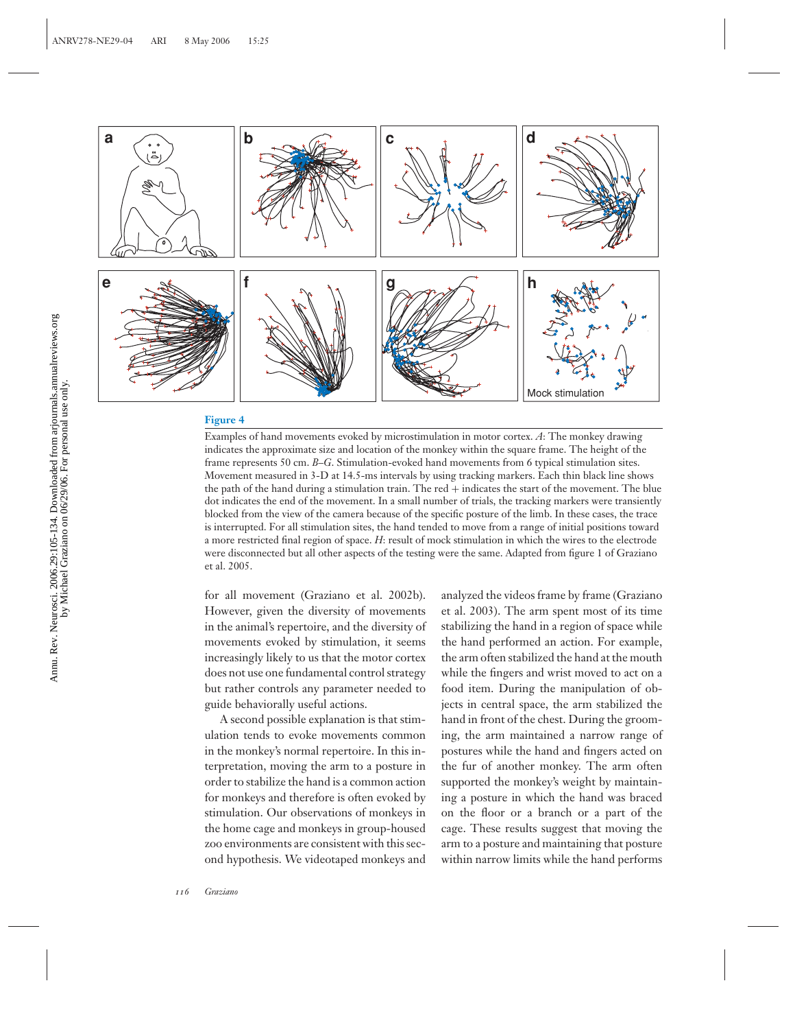

Examples of hand movements evoked by microstimulation in motor cortex. *A*: The monkey drawing indicates the approximate size and location of the monkey within the square frame. The height of the frame represents 50 cm. *B*–*G*. Stimulation-evoked hand movements from 6 typical stimulation sites. Movement measured in 3-D at 14.5-ms intervals by using tracking markers. Each thin black line shows the path of the hand during a stimulation train. The red + indicates the start of the movement. The blue dot indicates the end of the movement. In a small number of trials, the tracking markers were transiently blocked from the view of the camera because of the specific posture of the limb. In these cases, the trace is interrupted. For all stimulation sites, the hand tended to move from a range of initial positions toward a more restricted final region of space. *H*: result of mock stimulation in which the wires to the electrode were disconnected but all other aspects of the testing were the same. Adapted from figure 1 of Graziano et al. 2005.

for all movement (Graziano et al. 2002b). However, given the diversity of movements in the animal's repertoire, and the diversity of movements evoked by stimulation, it seems increasingly likely to us that the motor cortex does not use one fundamental control strategy but rather controls any parameter needed to guide behaviorally useful actions.

A second possible explanation is that stimulation tends to evoke movements common in the monkey's normal repertoire. In this interpretation, moving the arm to a posture in order to stabilize the hand is a common action for monkeys and therefore is often evoked by stimulation. Our observations of monkeys in the home cage and monkeys in group-housed zoo environments are consistent with this second hypothesis. We videotaped monkeys and

analyzed the videos frame by frame (Graziano et al. 2003). The arm spent most of its time stabilizing the hand in a region of space while the hand performed an action. For example, the arm often stabilized the hand at the mouth while the fingers and wrist moved to act on a food item. During the manipulation of objects in central space, the arm stabilized the hand in front of the chest. During the grooming, the arm maintained a narrow range of postures while the hand and fingers acted on the fur of another monkey. The arm often supported the monkey's weight by maintaining a posture in which the hand was braced on the floor or a branch or a part of the cage. These results suggest that moving the arm to a posture and maintaining that posture within narrow limits while the hand performs

Annu. Rev. Neurosci. 2006.29:105-134. Downloaded from arjournals.annualreviews.org<br>by Michael Graziano on 06/29/06. For personal use only. Annu. Rev. Neurosci. 2006.29:105-134. Downloaded from arjournals.annualreviews.org by Michael Graziano on 06/29/06. For personal use only.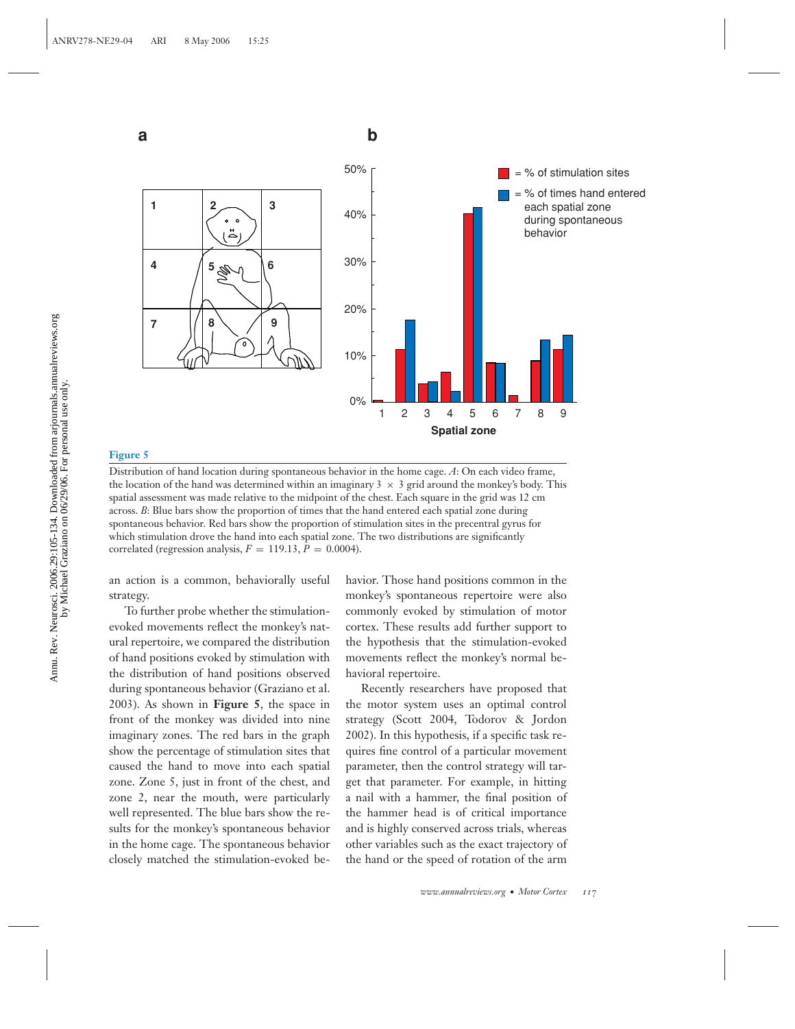

Distribution of hand location during spontaneous behavior in the home cage. *A*: On each video frame, the location of the hand was determined within an imaginary  $3 \times 3$  grid around the monkey's body. This spatial assessment was made relative to the midpoint of the chest. Each square in the grid was 12 cm across. *B*: Blue bars show the proportion of times that the hand entered each spatial zone during spontaneous behavior. Red bars show the proportion of stimulation sites in the precentral gyrus for which stimulation drove the hand into each spatial zone. The two distributions are significantly correlated (regression analysis,  $F = 119.13$ ,  $P = 0.0004$ ).

an action is a common, behaviorally useful strategy.

To further probe whether the stimulationevoked movements reflect the monkey's natural repertoire, we compared the distribution of hand positions evoked by stimulation with the distribution of hand positions observed during spontaneous behavior (Graziano et al. 2003). As shown in **Figure 5**, the space in front of the monkey was divided into nine imaginary zones. The red bars in the graph show the percentage of stimulation sites that caused the hand to move into each spatial zone. Zone 5, just in front of the chest, and zone 2, near the mouth, were particularly well represented. The blue bars show the results for the monkey's spontaneous behavior in the home cage. The spontaneous behavior closely matched the stimulation-evoked behavior. Those hand positions common in the monkey's spontaneous repertoire were also commonly evoked by stimulation of motor cortex. These results add further support to the hypothesis that the stimulation-evoked movements reflect the monkey's normal behavioral repertoire.

Recently researchers have proposed that the motor system uses an optimal control strategy (Scott 2004, Todorov & Jordon 2002). In this hypothesis, if a specific task requires fine control of a particular movement parameter, then the control strategy will target that parameter. For example, in hitting a nail with a hammer, the final position of the hammer head is of critical importance and is highly conserved across trials, whereas other variables such as the exact trajectory of the hand or the speed of rotation of the arm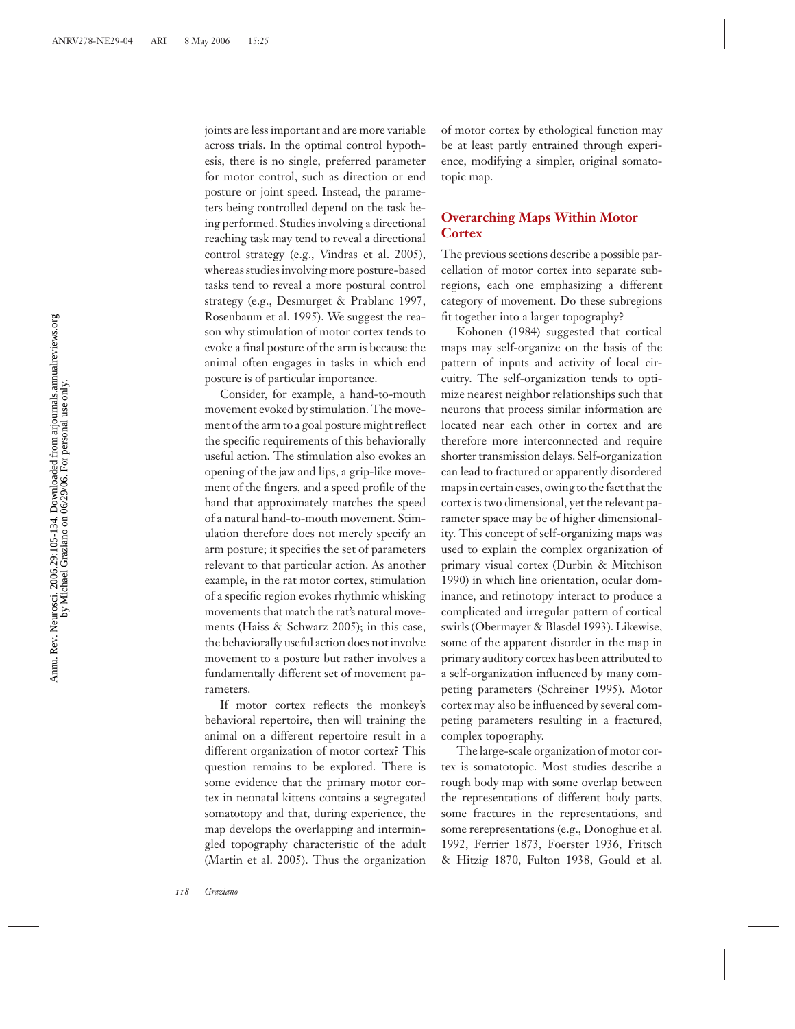joints are less important and are more variable across trials. In the optimal control hypothesis, there is no single, preferred parameter for motor control, such as direction or end posture or joint speed. Instead, the parameters being controlled depend on the task being performed. Studies involving a directional reaching task may tend to reveal a directional control strategy (e.g., Vindras et al. 2005), whereas studies involving more posture-based tasks tend to reveal a more postural control strategy (e.g., Desmurget & Prablanc 1997, Rosenbaum et al. 1995). We suggest the reason why stimulation of motor cortex tends to evoke a final posture of the arm is because the animal often engages in tasks in which end posture is of particular importance.

Consider, for example, a hand-to-mouth movement evoked by stimulation. The movement of the arm to a goal posture might reflect the specific requirements of this behaviorally useful action. The stimulation also evokes an opening of the jaw and lips, a grip-like movement of the fingers, and a speed profile of the hand that approximately matches the speed of a natural hand-to-mouth movement. Stimulation therefore does not merely specify an arm posture; it specifies the set of parameters relevant to that particular action. As another example, in the rat motor cortex, stimulation of a specific region evokes rhythmic whisking movements that match the rat's natural movements (Haiss & Schwarz 2005); in this case, the behaviorally useful action does not involve movement to a posture but rather involves a fundamentally different set of movement parameters.

If motor cortex reflects the monkey's behavioral repertoire, then will training the animal on a different repertoire result in a different organization of motor cortex? This question remains to be explored. There is some evidence that the primary motor cortex in neonatal kittens contains a segregated somatotopy and that, during experience, the map develops the overlapping and intermingled topography characteristic of the adult (Martin et al. 2005). Thus the organization

of motor cortex by ethological function may be at least partly entrained through experience, modifying a simpler, original somatotopic map.

## **Overarching Maps Within Motor Cortex**

The previous sections describe a possible parcellation of motor cortex into separate subregions, each one emphasizing a different category of movement. Do these subregions fit together into a larger topography?

Kohonen (1984) suggested that cortical maps may self-organize on the basis of the pattern of inputs and activity of local circuitry. The self-organization tends to optimize nearest neighbor relationships such that neurons that process similar information are located near each other in cortex and are therefore more interconnected and require shorter transmission delays. Self-organization can lead to fractured or apparently disordered maps in certain cases, owing to the fact that the cortex is two dimensional, yet the relevant parameter space may be of higher dimensionality. This concept of self-organizing maps was used to explain the complex organization of primary visual cortex (Durbin & Mitchison 1990) in which line orientation, ocular dominance, and retinotopy interact to produce a complicated and irregular pattern of cortical swirls (Obermayer & Blasdel 1993). Likewise, some of the apparent disorder in the map in primary auditory cortex has been attributed to a self-organization influenced by many competing parameters (Schreiner 1995). Motor cortex may also be influenced by several competing parameters resulting in a fractured, complex topography.

The large-scale organization of motor cortex is somatotopic. Most studies describe a rough body map with some overlap between the representations of different body parts, some fractures in the representations, and some rerepresentations (e.g., Donoghue et al. 1992, Ferrier 1873, Foerster 1936, Fritsch & Hitzig 1870, Fulton 1938, Gould et al.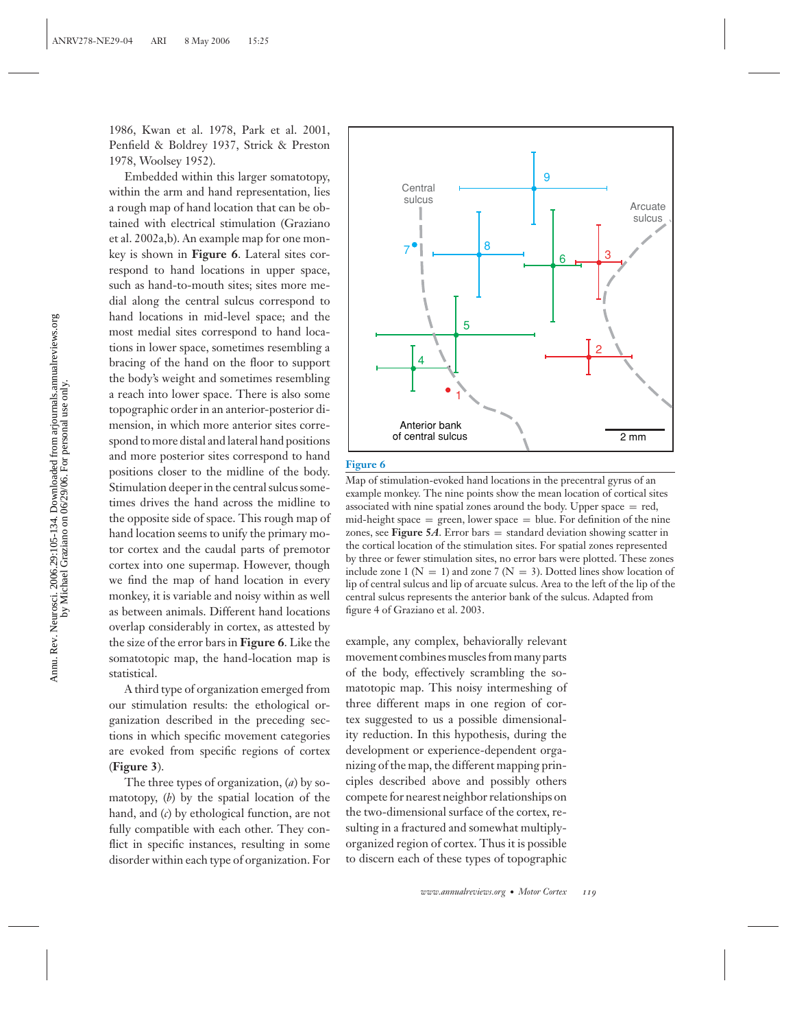Annu. Rev. Neurosci. 2006.29:105-134. Downloaded from arjournals.annualreviews.org<br>by Michael Graziano on 06/29/06. For personal use only. Annu. Rev. Neurosci. 2006.29:105-134. Downloaded from arjournals.annualreviews.org by Michael Graziano on 06/29/06. For personal use only. 1986, Kwan et al. 1978, Park et al. 2001, Penfield & Boldrey 1937, Strick & Preston 1978, Woolsey 1952).

Embedded within this larger somatotopy, within the arm and hand representation, lies a rough map of hand location that can be obtained with electrical stimulation (Graziano et al. 2002a,b). An example map for one monkey is shown in **Figure 6**. Lateral sites correspond to hand locations in upper space, such as hand-to-mouth sites; sites more medial along the central sulcus correspond to hand locations in mid-level space; and the most medial sites correspond to hand locations in lower space, sometimes resembling a bracing of the hand on the floor to support the body's weight and sometimes resembling a reach into lower space. There is also some topographic order in an anterior-posterior dimension, in which more anterior sites correspond to more distal and lateral hand positions and more posterior sites correspond to hand positions closer to the midline of the body. Stimulation deeper in the central sulcus sometimes drives the hand across the midline to the opposite side of space. This rough map of hand location seems to unify the primary motor cortex and the caudal parts of premotor cortex into one supermap. However, though we find the map of hand location in every monkey, it is variable and noisy within as well as between animals. Different hand locations overlap considerably in cortex, as attested by the size of the error bars in **Figure 6**. Like the somatotopic map, the hand-location map is statistical.

A third type of organization emerged from our stimulation results: the ethological organization described in the preceding sections in which specific movement categories are evoked from specific regions of cortex (**Figure 3**).

The three types of organization, (*a*) by somatotopy, (*b*) by the spatial location of the hand, and (*c*) by ethological function, are not fully compatible with each other. They conflict in specific instances, resulting in some disorder within each type of organization. For



#### **Figure 6**

Map of stimulation-evoked hand locations in the precentral gyrus of an example monkey. The nine points show the mean location of cortical sites associated with nine spatial zones around the body. Upper space  $=$  red, mid-height space  $=$  green, lower space  $=$  blue. For definition of the nine zones, see **Figure 5***A*. Error bars  $=$  standard deviation showing scatter in the cortical location of the stimulation sites. For spatial zones represented by three or fewer stimulation sites, no error bars were plotted. These zones include zone 1 ( $N = 1$ ) and zone 7 ( $N = 3$ ). Dotted lines show location of lip of central sulcus and lip of arcuate sulcus. Area to the left of the lip of the central sulcus represents the anterior bank of the sulcus. Adapted from figure 4 of Graziano et al. 2003.

example, any complex, behaviorally relevant movement combines muscles from many parts of the body, effectively scrambling the somatotopic map. This noisy intermeshing of three different maps in one region of cortex suggested to us a possible dimensionality reduction. In this hypothesis, during the development or experience-dependent organizing of the map, the different mapping principles described above and possibly others compete for nearest neighbor relationships on the two-dimensional surface of the cortex, resulting in a fractured and somewhat multiplyorganized region of cortex. Thus it is possible to discern each of these types of topographic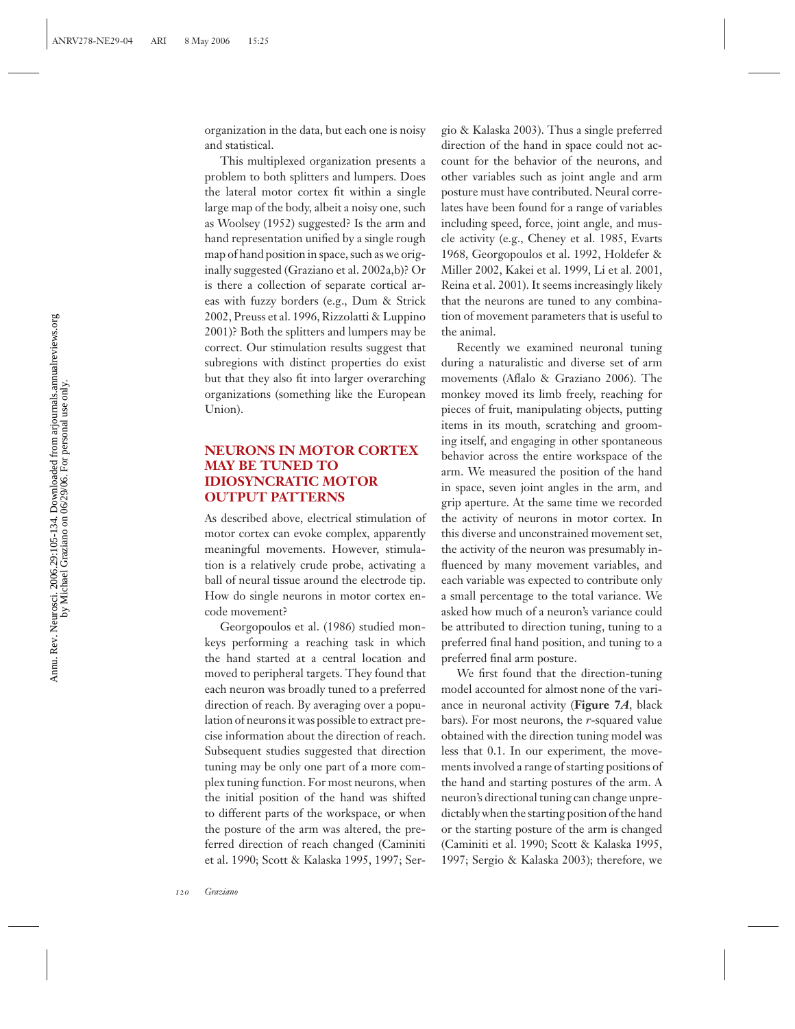organization in the data, but each one is noisy and statistical.

This multiplexed organization presents a problem to both splitters and lumpers. Does the lateral motor cortex fit within a single large map of the body, albeit a noisy one, such as Woolsey (1952) suggested? Is the arm and hand representation unified by a single rough map of hand position in space, such as we originally suggested (Graziano et al. 2002a,b)? Or is there a collection of separate cortical areas with fuzzy borders (e.g., Dum & Strick 2002, Preuss et al. 1996, Rizzolatti & Luppino 2001)? Both the splitters and lumpers may be correct. Our stimulation results suggest that subregions with distinct properties do exist but that they also fit into larger overarching organizations (something like the European Union).

# **NEURONS IN MOTOR CORTEX MAY BE TUNED TO IDIOSYNCRATIC MOTOR OUTPUT PATTERNS**

As described above, electrical stimulation of motor cortex can evoke complex, apparently meaningful movements. However, stimulation is a relatively crude probe, activating a ball of neural tissue around the electrode tip. How do single neurons in motor cortex encode movement?

Georgopoulos et al. (1986) studied monkeys performing a reaching task in which the hand started at a central location and moved to peripheral targets. They found that each neuron was broadly tuned to a preferred direction of reach. By averaging over a population of neurons it was possible to extract precise information about the direction of reach. Subsequent studies suggested that direction tuning may be only one part of a more complex tuning function. For most neurons, when the initial position of the hand was shifted to different parts of the workspace, or when the posture of the arm was altered, the preferred direction of reach changed (Caminiti et al. 1990; Scott & Kalaska 1995, 1997; Sergio & Kalaska 2003). Thus a single preferred direction of the hand in space could not account for the behavior of the neurons, and other variables such as joint angle and arm posture must have contributed. Neural correlates have been found for a range of variables including speed, force, joint angle, and muscle activity (e.g., Cheney et al. 1985, Evarts 1968, Georgopoulos et al. 1992, Holdefer & Miller 2002, Kakei et al. 1999, Li et al. 2001, Reina et al. 2001). It seems increasingly likely that the neurons are tuned to any combination of movement parameters that is useful to the animal.

Recently we examined neuronal tuning during a naturalistic and diverse set of arm movements (Aflalo & Graziano 2006). The monkey moved its limb freely, reaching for pieces of fruit, manipulating objects, putting items in its mouth, scratching and grooming itself, and engaging in other spontaneous behavior across the entire workspace of the arm. We measured the position of the hand in space, seven joint angles in the arm, and grip aperture. At the same time we recorded the activity of neurons in motor cortex. In this diverse and unconstrained movement set, the activity of the neuron was presumably influenced by many movement variables, and each variable was expected to contribute only a small percentage to the total variance. We asked how much of a neuron's variance could be attributed to direction tuning, tuning to a preferred final hand position, and tuning to a preferred final arm posture.

We first found that the direction-tuning model accounted for almost none of the variance in neuronal activity (**Figure 7***A*, black bars). For most neurons, the *r*-squared value obtained with the direction tuning model was less that 0.1. In our experiment, the movements involved a range of starting positions of the hand and starting postures of the arm. A neuron's directional tuning can change unpredictably when the starting position of the hand or the starting posture of the arm is changed (Caminiti et al. 1990; Scott & Kalaska 1995, 1997; Sergio & Kalaska 2003); therefore, we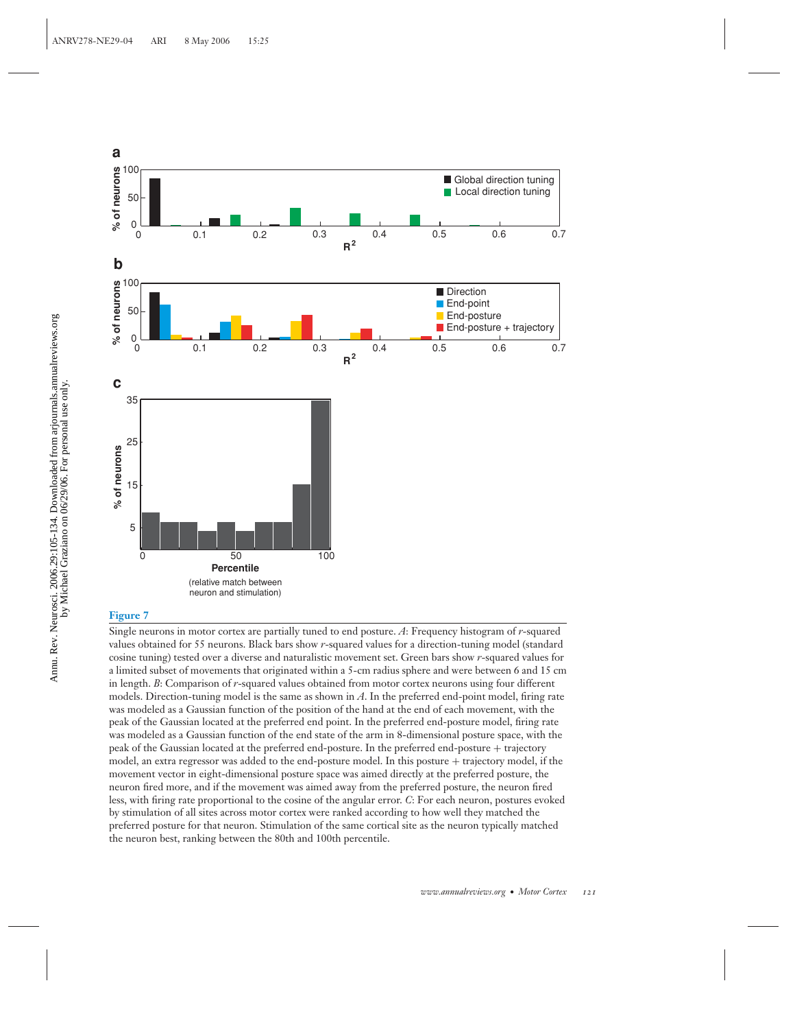

Single neurons in motor cortex are partially tuned to end posture. *A*: Frequency histogram of *r*-squared values obtained for 55 neurons. Black bars show *r*-squared values for a direction-tuning model (standard cosine tuning) tested over a diverse and naturalistic movement set. Green bars show *r*-squared values for a limited subset of movements that originated within a 5-cm radius sphere and were between 6 and 15 cm in length. *B*: Comparison of *r*-squared values obtained from motor cortex neurons using four different models. Direction-tuning model is the same as shown in *A*. In the preferred end-point model, firing rate was modeled as a Gaussian function of the position of the hand at the end of each movement, with the peak of the Gaussian located at the preferred end point. In the preferred end-posture model, firing rate was modeled as a Gaussian function of the end state of the arm in 8-dimensional posture space, with the peak of the Gaussian located at the preferred end-posture. In the preferred end-posture + trajectory model, an extra regressor was added to the end-posture model. In this posture + trajectory model, if the movement vector in eight-dimensional posture space was aimed directly at the preferred posture, the neuron fired more, and if the movement was aimed away from the preferred posture, the neuron fired less, with firing rate proportional to the cosine of the angular error. *C*: For each neuron, postures evoked by stimulation of all sites across motor cortex were ranked according to how well they matched the preferred posture for that neuron. Stimulation of the same cortical site as the neuron typically matched the neuron best, ranking between the 80th and 100th percentile.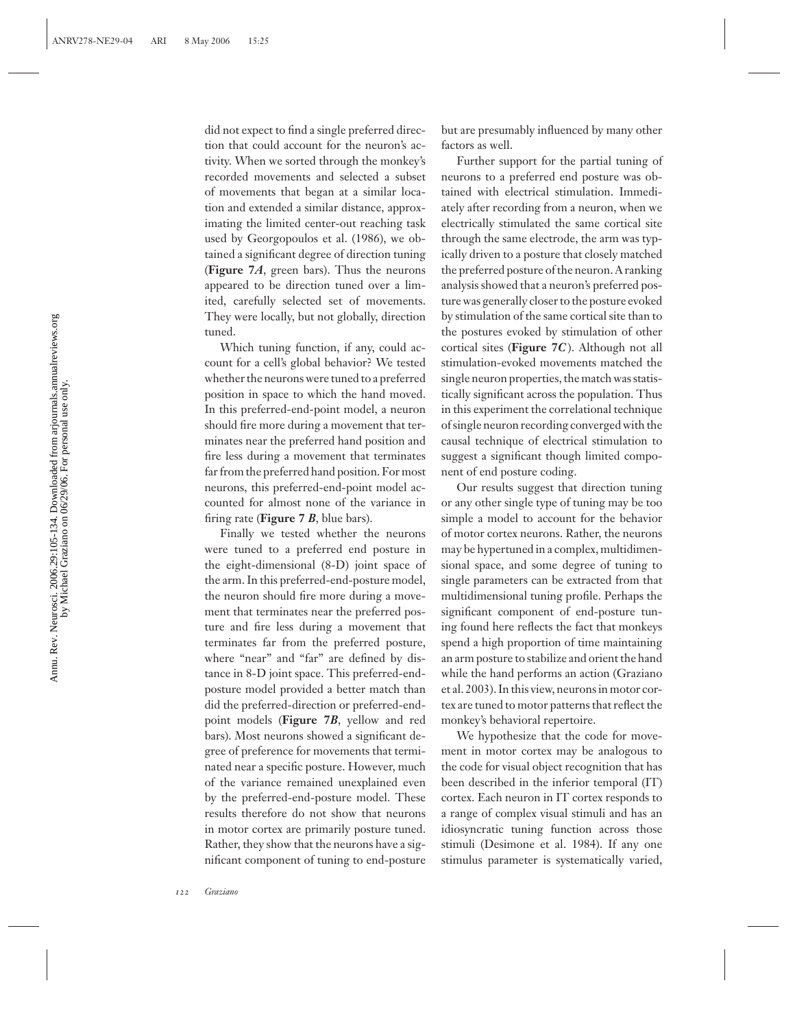did not expect to find a single preferred direction that could account for the neuron's activity. When we sorted through the monkey's recorded movements and selected a subset of movements that began at a similar location and extended a similar distance, approximating the limited center-out reaching task used by Georgopoulos et al. (1986), we obtained a significant degree of direction tuning (**Figure 7***A*, green bars). Thus the neurons appeared to be direction tuned over a limited, carefully selected set of movements. They were locally, but not globally, direction tuned.

Which tuning function, if any, could account for a cell's global behavior? We tested whether the neurons were tuned to a preferred position in space to which the hand moved. In this preferred-end-point model, a neuron should fire more during a movement that terminates near the preferred hand position and fire less during a movement that terminates far from the preferred hand position. For most neurons, this preferred-end-point model accounted for almost none of the variance in firing rate (**Figure 7** *B*, blue bars).

Finally we tested whether the neurons were tuned to a preferred end posture in the eight-dimensional (8-D) joint space of the arm. In this preferred-end-posture model, the neuron should fire more during a movement that terminates near the preferred posture and fire less during a movement that terminates far from the preferred posture, where "near" and "far" are defined by distance in 8-D joint space. This preferred-endposture model provided a better match than did the preferred-direction or preferred-endpoint models (**Figure 7***B*, yellow and red bars). Most neurons showed a significant degree of preference for movements that terminated near a specific posture. However, much of the variance remained unexplained even by the preferred-end-posture model. These results therefore do not show that neurons in motor cortex are primarily posture tuned. Rather, they show that the neurons have a significant component of tuning to end-posture

but are presumably influenced by many other factors as well.

Further support for the partial tuning of neurons to a preferred end posture was obtained with electrical stimulation. Immediately after recording from a neuron, when we electrically stimulated the same cortical site through the same electrode, the arm was typically driven to a posture that closely matched the preferred posture of the neuron. A ranking analysis showed that a neuron's preferred posture was generally closer to the posture evoked by stimulation of the same cortical site than to the postures evoked by stimulation of other cortical sites (**Figure 7***C*). Although not all stimulation-evoked movements matched the single neuron properties, the match was statistically significant across the population. Thus in this experiment the correlational technique of single neuron recording converged with the causal technique of electrical stimulation to suggest a significant though limited component of end posture coding.

Our results suggest that direction tuning or any other single type of tuning may be too simple a model to account for the behavior of motor cortex neurons. Rather, the neurons may be hypertuned in a complex, multidimensional space, and some degree of tuning to single parameters can be extracted from that multidimensional tuning profile. Perhaps the significant component of end-posture tuning found here reflects the fact that monkeys spend a high proportion of time maintaining an arm posture to stabilize and orient the hand while the hand performs an action (Graziano et al. 2003). In this view, neurons in motor cortex are tuned to motor patterns that reflect the monkey's behavioral repertoire.

We hypothesize that the code for movement in motor cortex may be analogous to the code for visual object recognition that has been described in the inferior temporal (IT) cortex. Each neuron in IT cortex responds to a range of complex visual stimuli and has an idiosyncratic tuning function across those stimuli (Desimone et al. 1984). If any one stimulus parameter is systematically varied,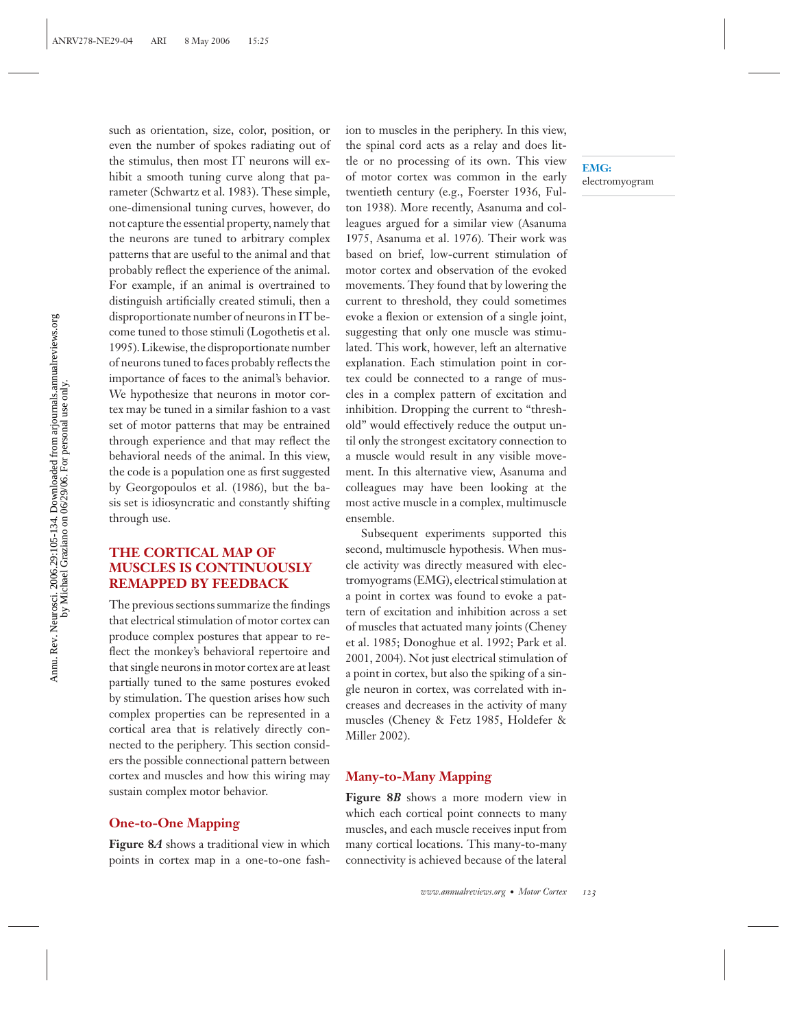such as orientation, size, color, position, or even the number of spokes radiating out of the stimulus, then most IT neurons will exhibit a smooth tuning curve along that parameter (Schwartz et al. 1983). These simple, one-dimensional tuning curves, however, do not capture the essential property, namely that the neurons are tuned to arbitrary complex patterns that are useful to the animal and that probably reflect the experience of the animal. For example, if an animal is overtrained to distinguish artificially created stimuli, then a disproportionate number of neurons in IT become tuned to those stimuli (Logothetis et al. 1995). Likewise, the disproportionate number of neurons tuned to faces probably reflects the importance of faces to the animal's behavior. We hypothesize that neurons in motor cortex may be tuned in a similar fashion to a vast set of motor patterns that may be entrained through experience and that may reflect the behavioral needs of the animal. In this view, the code is a population one as first suggested by Georgopoulos et al. (1986), but the basis set is idiosyncratic and constantly shifting through use.

# **THE CORTICAL MAP OF MUSCLES IS CONTINUOUSLY REMAPPED BY FEEDBACK**

The previous sections summarize the findings that electrical stimulation of motor cortex can produce complex postures that appear to reflect the monkey's behavioral repertoire and that single neurons in motor cortex are at least partially tuned to the same postures evoked by stimulation. The question arises how such complex properties can be represented in a cortical area that is relatively directly connected to the periphery. This section considers the possible connectional pattern between cortex and muscles and how this wiring may sustain complex motor behavior.

## **One-to-One Mapping**

**Figure 8***A* shows a traditional view in which points in cortex map in a one-to-one fashion to muscles in the periphery. In this view, the spinal cord acts as a relay and does little or no processing of its own. This view of motor cortex was common in the early twentieth century (e.g., Foerster 1936, Fulton 1938). More recently, Asanuma and colleagues argued for a similar view (Asanuma 1975, Asanuma et al. 1976). Their work was based on brief, low-current stimulation of motor cortex and observation of the evoked movements. They found that by lowering the current to threshold, they could sometimes evoke a flexion or extension of a single joint, suggesting that only one muscle was stimulated. This work, however, left an alternative explanation. Each stimulation point in cortex could be connected to a range of muscles in a complex pattern of excitation and inhibition. Dropping the current to "threshold" would effectively reduce the output until only the strongest excitatory connection to a muscle would result in any visible movement. In this alternative view, Asanuma and colleagues may have been looking at the most active muscle in a complex, multimuscle ensemble.

Subsequent experiments supported this second, multimuscle hypothesis. When muscle activity was directly measured with electromyograms (EMG), electrical stimulation at a point in cortex was found to evoke a pattern of excitation and inhibition across a set of muscles that actuated many joints (Cheney et al. 1985; Donoghue et al. 1992; Park et al. 2001, 2004). Not just electrical stimulation of a point in cortex, but also the spiking of a single neuron in cortex, was correlated with increases and decreases in the activity of many muscles (Cheney & Fetz 1985, Holdefer & Miller 2002).

## **Many-to-Many Mapping**

**Figure 8***B* shows a more modern view in which each cortical point connects to many muscles, and each muscle receives input from many cortical locations. This many-to-many connectivity is achieved because of the lateral **EMG:** electromyogram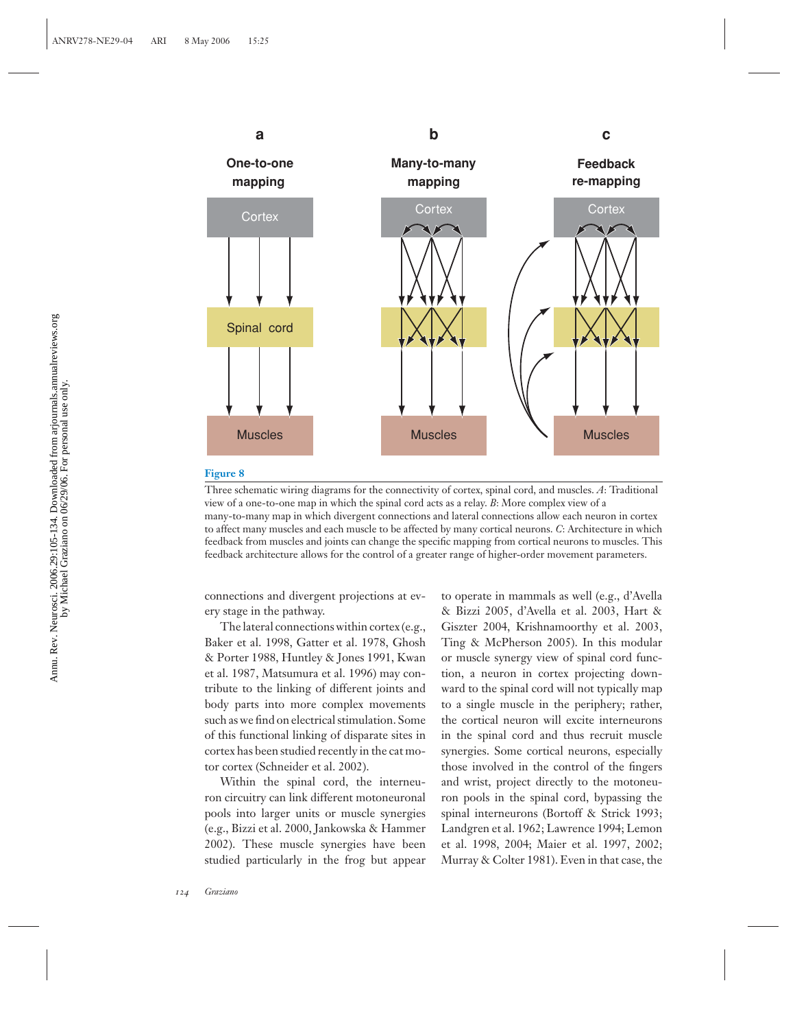

Three schematic wiring diagrams for the connectivity of cortex, spinal cord, and muscles. *A*: Traditional view of a one-to-one map in which the spinal cord acts as a relay. *B*: More complex view of a many-to-many map in which divergent connections and lateral connections allow each neuron in cortex to affect many muscles and each muscle to be affected by many cortical neurons. *C*: Architecture in which feedback from muscles and joints can change the specific mapping from cortical neurons to muscles. This feedback architecture allows for the control of a greater range of higher-order movement parameters.

connections and divergent projections at every stage in the pathway.

The lateral connections within cortex (e.g., Baker et al. 1998, Gatter et al. 1978, Ghosh & Porter 1988, Huntley & Jones 1991, Kwan et al. 1987, Matsumura et al. 1996) may contribute to the linking of different joints and body parts into more complex movements such as we find on electrical stimulation. Some of this functional linking of disparate sites in cortex has been studied recently in the cat motor cortex (Schneider et al. 2002).

Within the spinal cord, the interneuron circuitry can link different motoneuronal pools into larger units or muscle synergies (e.g., Bizzi et al. 2000, Jankowska & Hammer 2002). These muscle synergies have been studied particularly in the frog but appear to operate in mammals as well (e.g., d'Avella & Bizzi 2005, d'Avella et al. 2003, Hart & Giszter 2004, Krishnamoorthy et al. 2003, Ting & McPherson 2005). In this modular or muscle synergy view of spinal cord function, a neuron in cortex projecting downward to the spinal cord will not typically map to a single muscle in the periphery; rather, the cortical neuron will excite interneurons in the spinal cord and thus recruit muscle synergies. Some cortical neurons, especially those involved in the control of the fingers and wrist, project directly to the motoneuron pools in the spinal cord, bypassing the spinal interneurons (Bortoff & Strick 1993; Landgren et al. 1962; Lawrence 1994; Lemon et al. 1998, 2004; Maier et al. 1997, 2002; Murray & Colter 1981). Even in that case, the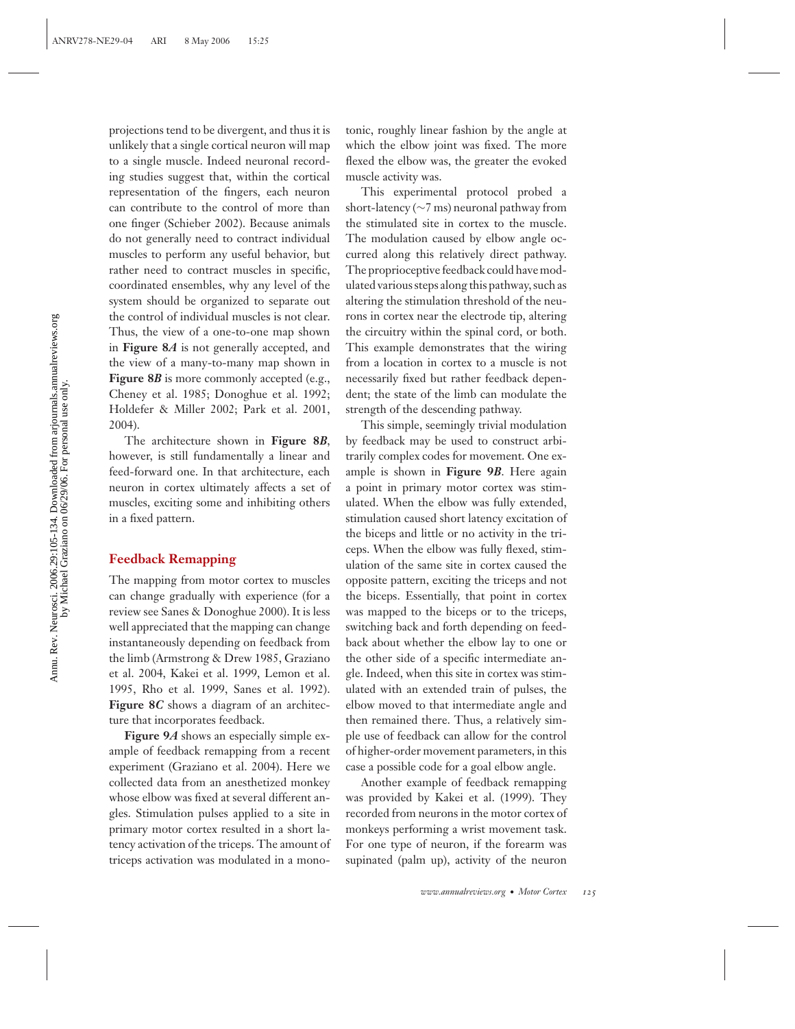Annu. Rev. Neurosci. 2006.29:105-134. Downloaded from arjournals.annualreviews.org<br>by Michael Graziano on 06/29/06. For personal use only. Annu. Rev. Neurosci. 2006.29:105-134. Downloaded from arjournals.annualreviews.org by Michael Graziano on 06/29/06. For personal use only.

projections tend to be divergent, and thus it is unlikely that a single cortical neuron will map to a single muscle. Indeed neuronal recording studies suggest that, within the cortical representation of the fingers, each neuron can contribute to the control of more than one finger (Schieber 2002). Because animals do not generally need to contract individual muscles to perform any useful behavior, but rather need to contract muscles in specific, coordinated ensembles, why any level of the system should be organized to separate out the control of individual muscles is not clear. Thus, the view of a one-to-one map shown in **Figure 8***A* is not generally accepted, and the view of a many-to-many map shown in **Figure 8***B* is more commonly accepted (e.g., Cheney et al. 1985; Donoghue et al. 1992; Holdefer & Miller 2002; Park et al. 2001, 2004).

The architecture shown in **Figure 8***B*, however, is still fundamentally a linear and feed-forward one. In that architecture, each neuron in cortex ultimately affects a set of muscles, exciting some and inhibiting others in a fixed pattern.

## **Feedback Remapping**

The mapping from motor cortex to muscles can change gradually with experience (for a review see Sanes & Donoghue 2000). It is less well appreciated that the mapping can change instantaneously depending on feedback from the limb (Armstrong & Drew 1985, Graziano et al. 2004, Kakei et al. 1999, Lemon et al. 1995, Rho et al. 1999, Sanes et al. 1992). **Figure 8***C* shows a diagram of an architecture that incorporates feedback.

**Figure 9***A* shows an especially simple example of feedback remapping from a recent experiment (Graziano et al. 2004). Here we collected data from an anesthetized monkey whose elbow was fixed at several different angles. Stimulation pulses applied to a site in primary motor cortex resulted in a short latency activation of the triceps. The amount of triceps activation was modulated in a monotonic, roughly linear fashion by the angle at which the elbow joint was fixed. The more flexed the elbow was, the greater the evoked muscle activity was.

This experimental protocol probed a short-latency (∼7 ms) neuronal pathway from the stimulated site in cortex to the muscle. The modulation caused by elbow angle occurred along this relatively direct pathway. The proprioceptive feedback could have modulated various steps along this pathway, such as altering the stimulation threshold of the neurons in cortex near the electrode tip, altering the circuitry within the spinal cord, or both. This example demonstrates that the wiring from a location in cortex to a muscle is not necessarily fixed but rather feedback dependent; the state of the limb can modulate the strength of the descending pathway.

This simple, seemingly trivial modulation by feedback may be used to construct arbitrarily complex codes for movement. One example is shown in **Figure 9***B*. Here again a point in primary motor cortex was stimulated. When the elbow was fully extended, stimulation caused short latency excitation of the biceps and little or no activity in the triceps. When the elbow was fully flexed, stimulation of the same site in cortex caused the opposite pattern, exciting the triceps and not the biceps. Essentially, that point in cortex was mapped to the biceps or to the triceps, switching back and forth depending on feedback about whether the elbow lay to one or the other side of a specific intermediate angle. Indeed, when this site in cortex was stimulated with an extended train of pulses, the elbow moved to that intermediate angle and then remained there. Thus, a relatively simple use of feedback can allow for the control of higher-order movement parameters, in this case a possible code for a goal elbow angle.

Another example of feedback remapping was provided by Kakei et al. (1999). They recorded from neurons in the motor cortex of monkeys performing a wrist movement task. For one type of neuron, if the forearm was supinated (palm up), activity of the neuron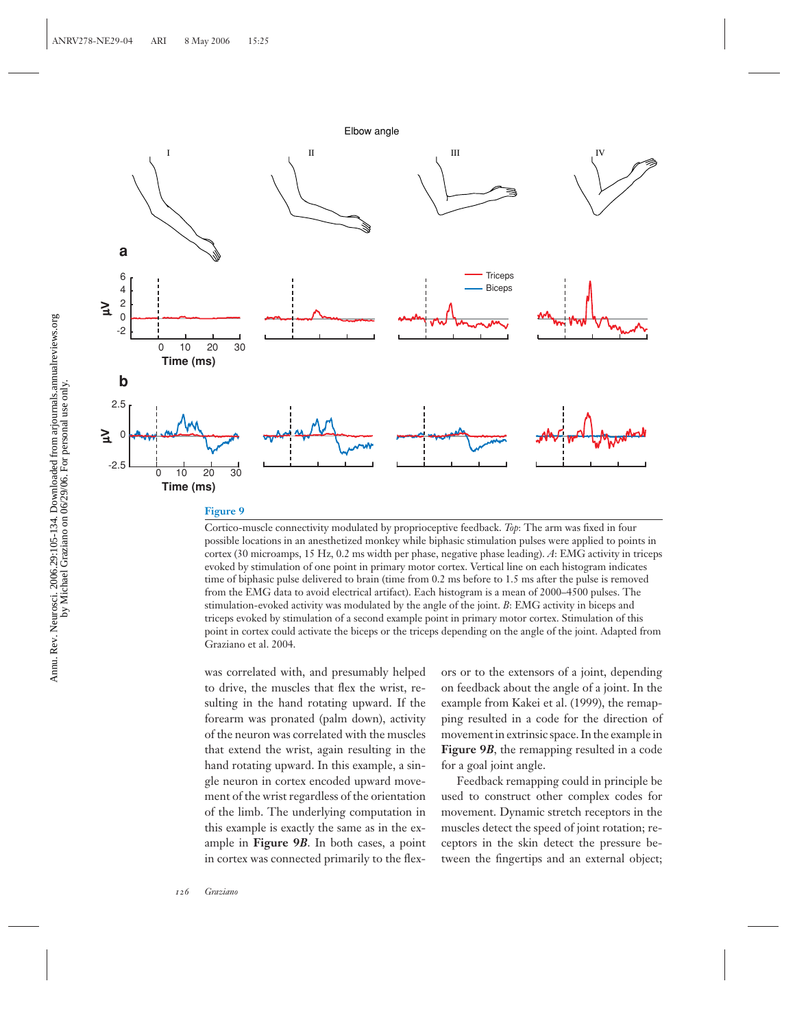

Cortico-muscle connectivity modulated by proprioceptive feedback. *Top*: The arm was fixed in four possible locations in an anesthetized monkey while biphasic stimulation pulses were applied to points in cortex (30 microamps, 15 Hz, 0.2 ms width per phase, negative phase leading). *A*: EMG activity in triceps evoked by stimulation of one point in primary motor cortex. Vertical line on each histogram indicates time of biphasic pulse delivered to brain (time from 0.2 ms before to 1.5 ms after the pulse is removed from the EMG data to avoid electrical artifact). Each histogram is a mean of 2000–4500 pulses. The stimulation-evoked activity was modulated by the angle of the joint. *B*: EMG activity in biceps and triceps evoked by stimulation of a second example point in primary motor cortex. Stimulation of this point in cortex could activate the biceps or the triceps depending on the angle of the joint. Adapted from Graziano et al. 2004.

was correlated with, and presumably helped to drive, the muscles that flex the wrist, resulting in the hand rotating upward. If the forearm was pronated (palm down), activity of the neuron was correlated with the muscles that extend the wrist, again resulting in the hand rotating upward. In this example, a single neuron in cortex encoded upward movement of the wrist regardless of the orientation of the limb. The underlying computation in this example is exactly the same as in the example in **Figure 9***B*. In both cases, a point in cortex was connected primarily to the flexors or to the extensors of a joint, depending on feedback about the angle of a joint. In the example from Kakei et al. (1999), the remapping resulted in a code for the direction of movement in extrinsic space. In the example in **Figure 9***B*, the remapping resulted in a code for a goal joint angle.

Feedback remapping could in principle be used to construct other complex codes for movement. Dynamic stretch receptors in the muscles detect the speed of joint rotation; receptors in the skin detect the pressure between the fingertips and an external object;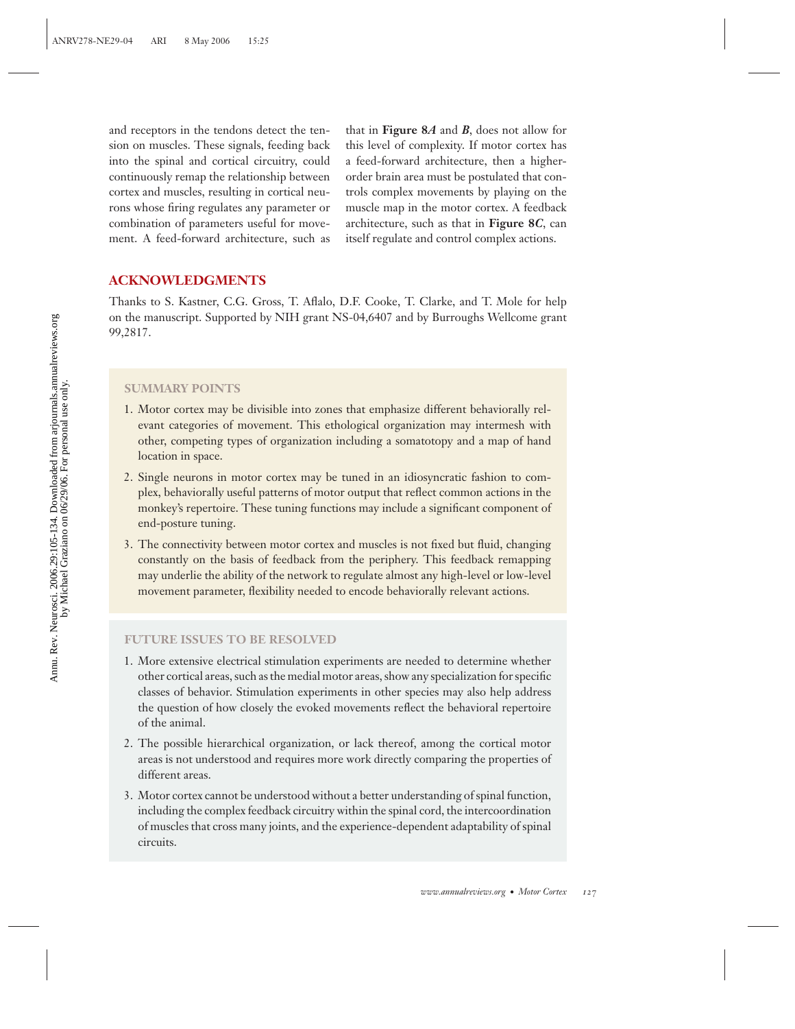and receptors in the tendons detect the tension on muscles. These signals, feeding back into the spinal and cortical circuitry, could continuously remap the relationship between cortex and muscles, resulting in cortical neurons whose firing regulates any parameter or combination of parameters useful for movement. A feed-forward architecture, such as that in **Figure 8***A* and *B*, does not allow for this level of complexity. If motor cortex has a feed-forward architecture, then a higherorder brain area must be postulated that controls complex movements by playing on the muscle map in the motor cortex. A feedback architecture, such as that in **Figure 8***C*, can itself regulate and control complex actions.

## **ACKNOWLEDGMENTS**

Thanks to S. Kastner, C.G. Gross, T. Aflalo, D.F. Cooke, T. Clarke, and T. Mole for help on the manuscript. Supported by NIH grant NS-04,6407 and by Burroughs Wellcome grant 99,2817.

#### **SUMMARY POINTS**

- 1. Motor cortex may be divisible into zones that emphasize different behaviorally relevant categories of movement. This ethological organization may intermesh with other, competing types of organization including a somatotopy and a map of hand location in space.
- 2. Single neurons in motor cortex may be tuned in an idiosyncratic fashion to complex, behaviorally useful patterns of motor output that reflect common actions in the monkey's repertoire. These tuning functions may include a significant component of end-posture tuning.
- 3. The connectivity between motor cortex and muscles is not fixed but fluid, changing constantly on the basis of feedback from the periphery. This feedback remapping may underlie the ability of the network to regulate almost any high-level or low-level movement parameter, flexibility needed to encode behaviorally relevant actions.

#### **FUTURE ISSUES TO BE RESOLVED**

- 1. More extensive electrical stimulation experiments are needed to determine whether other cortical areas, such as the medial motor areas, show any specialization for specific classes of behavior. Stimulation experiments in other species may also help address the question of how closely the evoked movements reflect the behavioral repertoire of the animal.
- 2. The possible hierarchical organization, or lack thereof, among the cortical motor areas is not understood and requires more work directly comparing the properties of different areas.
- 3. Motor cortex cannot be understood without a better understanding of spinal function, including the complex feedback circuitry within the spinal cord, the intercoordination of muscles that cross many joints, and the experience-dependent adaptability of spinal circuits.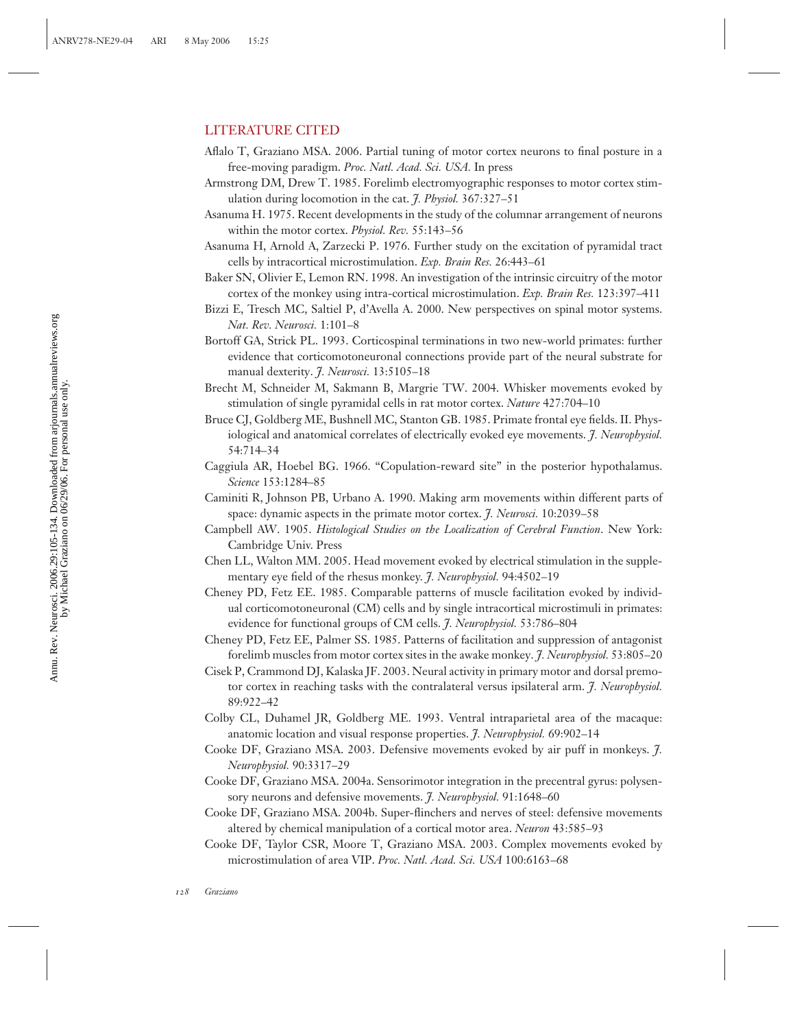## LITERATURE CITED

- Aflalo T, Graziano MSA. 2006. Partial tuning of motor cortex neurons to final posture in a free-moving paradigm. *Proc. Natl. Acad. Sci. USA.* In press
- Armstrong DM, Drew T. 1985. Forelimb electromyographic responses to motor cortex stimulation during locomotion in the cat. *J. Physiol.* 367:327–51
- Asanuma H. 1975. Recent developments in the study of the columnar arrangement of neurons within the motor cortex. *Physiol. Rev.* 55:143–56
- Asanuma H, Arnold A, Zarzecki P. 1976. Further study on the excitation of pyramidal tract cells by intracortical microstimulation. *Exp. Brain Res.* 26:443–61
- Baker SN, Olivier E, Lemon RN. 1998. An investigation of the intrinsic circuitry of the motor cortex of the monkey using intra-cortical microstimulation. *Exp. Brain Res.* 123:397–411
- Bizzi E, Tresch MC, Saltiel P, d'Avella A. 2000. New perspectives on spinal motor systems. *Nat. Rev. Neurosci.* 1:101–8
- Bortoff GA, Strick PL. 1993. Corticospinal terminations in two new-world primates: further evidence that corticomotoneuronal connections provide part of the neural substrate for manual dexterity. *J. Neurosci.* 13:5105–18
- Brecht M, Schneider M, Sakmann B, Margrie TW. 2004. Whisker movements evoked by stimulation of single pyramidal cells in rat motor cortex. *Nature* 427:704–10
- Bruce CJ, Goldberg ME, Bushnell MC, Stanton GB. 1985. Primate frontal eye fields. II. Physiological and anatomical correlates of electrically evoked eye movements. *J. Neurophysiol.* 54:714–34
- Caggiula AR, Hoebel BG. 1966. "Copulation-reward site" in the posterior hypothalamus. *Science* 153:1284–85
- Caminiti R, Johnson PB, Urbano A. 1990. Making arm movements within different parts of space: dynamic aspects in the primate motor cortex. *J. Neurosci.* 10:2039–58
- Campbell AW. 1905. *Histological Studies on the Localization of Cerebral Function*. New York: Cambridge Univ. Press
- Chen LL, Walton MM. 2005. Head movement evoked by electrical stimulation in the supplementary eye field of the rhesus monkey. *J. Neurophysiol.* 94:4502–19
- Cheney PD, Fetz EE. 1985. Comparable patterns of muscle facilitation evoked by individual corticomotoneuronal (CM) cells and by single intracortical microstimuli in primates: evidence for functional groups of CM cells. *J. Neurophysiol.* 53:786–804
- Cheney PD, Fetz EE, Palmer SS. 1985. Patterns of facilitation and suppression of antagonist forelimb muscles from motor cortex sites in the awake monkey. *J. Neurophysiol.* 53:805–20
- Cisek P, Crammond DJ, Kalaska JF. 2003. Neural activity in primary motor and dorsal premotor cortex in reaching tasks with the contralateral versus ipsilateral arm. *J. Neurophysiol.* 89:922–42
- Colby CL, Duhamel JR, Goldberg ME. 1993. Ventral intraparietal area of the macaque: anatomic location and visual response properties. *J. Neurophysiol.* 69:902–14
- Cooke DF, Graziano MSA. 2003. Defensive movements evoked by air puff in monkeys. *J. Neurophysiol.* 90:3317–29
- Cooke DF, Graziano MSA. 2004a. Sensorimotor integration in the precentral gyrus: polysensory neurons and defensive movements. *J. Neurophysiol.* 91:1648–60
- Cooke DF, Graziano MSA. 2004b. Super-flinchers and nerves of steel: defensive movements altered by chemical manipulation of a cortical motor area. *Neuron* 43:585–93
- Cooke DF, Taylor CSR, Moore T, Graziano MSA. 2003. Complex movements evoked by microstimulation of area VIP. *Proc. Natl. Acad. Sci. USA* 100:6163–68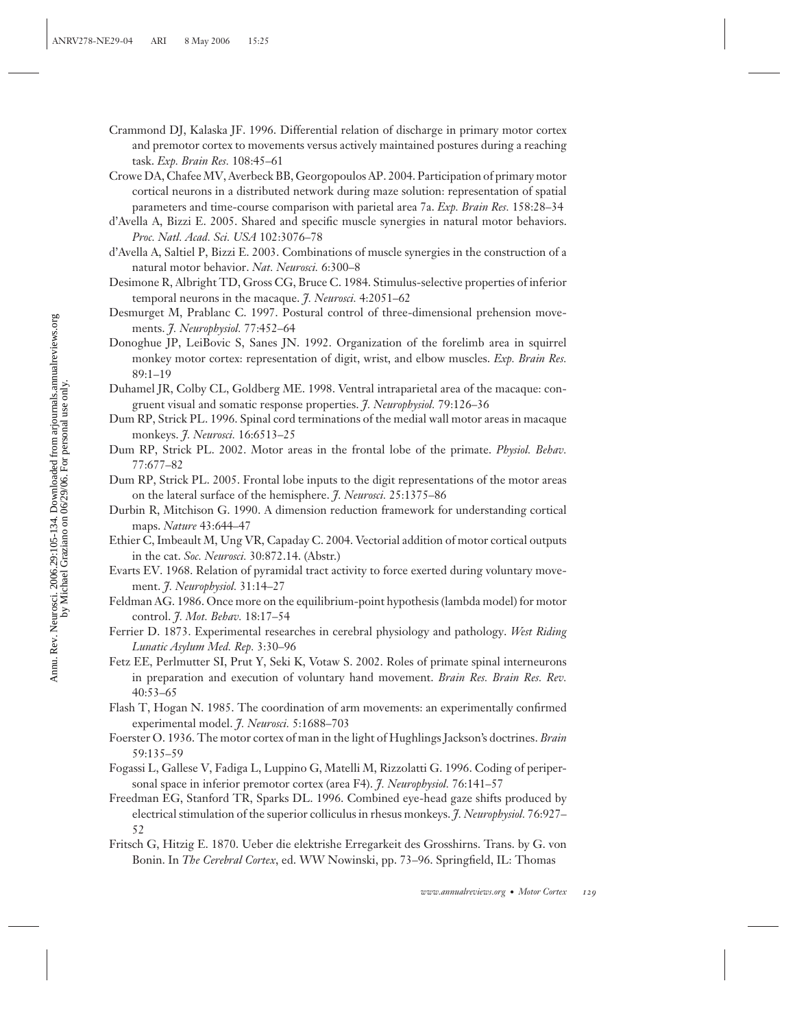- Crammond DJ, Kalaska JF. 1996. Differential relation of discharge in primary motor cortex and premotor cortex to movements versus actively maintained postures during a reaching task. *Exp. Brain Res.* 108:45–61
- Crowe DA, Chafee MV, Averbeck BB, Georgopoulos AP. 2004. Participation of primary motor cortical neurons in a distributed network during maze solution: representation of spatial parameters and time-course comparison with parietal area 7a. *Exp. Brain Res.* 158:28–34
- d'Avella A, Bizzi E. 2005. Shared and specific muscle synergies in natural motor behaviors. *Proc. Natl. Acad. Sci. USA* 102:3076–78
- d'Avella A, Saltiel P, Bizzi E. 2003. Combinations of muscle synergies in the construction of a natural motor behavior. *Nat. Neurosci.* 6:300–8
- Desimone R, Albright TD, Gross CG, Bruce C. 1984. Stimulus-selective properties of inferior temporal neurons in the macaque. *J. Neurosci.* 4:2051–62
- Desmurget M, Prablanc C. 1997. Postural control of three-dimensional prehension movements. *J. Neurophysiol.* 77:452–64
- Donoghue JP, LeiBovic S, Sanes JN. 1992. Organization of the forelimb area in squirrel monkey motor cortex: representation of digit, wrist, and elbow muscles. *Exp. Brain Res.* 89:1–19
- Duhamel JR, Colby CL, Goldberg ME. 1998. Ventral intraparietal area of the macaque: congruent visual and somatic response properties. *J. Neurophysiol.* 79:126–36
- Dum RP, Strick PL. 1996. Spinal cord terminations of the medial wall motor areas in macaque monkeys. *J. Neurosci.* 16:6513–25
- Dum RP, Strick PL. 2002. Motor areas in the frontal lobe of the primate. *Physiol. Behav.* 77:677–82
- Dum RP, Strick PL. 2005. Frontal lobe inputs to the digit representations of the motor areas on the lateral surface of the hemisphere. *J. Neurosci.* 25:1375–86
- Durbin R, Mitchison G. 1990. A dimension reduction framework for understanding cortical maps. *Nature* 43:644–47
- Ethier C, Imbeault M, Ung VR, Capaday C. 2004. Vectorial addition of motor cortical outputs in the cat. *Soc. Neurosci.* 30:872.14. (Abstr.)
- Evarts EV. 1968. Relation of pyramidal tract activity to force exerted during voluntary movement. *J. Neurophysiol.* 31:14–27
- Feldman AG. 1986. Once more on the equilibrium-point hypothesis (lambda model) for motor control. *J. Mot. Behav.* 18:17–54
- Ferrier D. 1873. Experimental researches in cerebral physiology and pathology. *West Riding Lunatic Asylum Med. Rep.* 3:30–96
- Fetz EE, Perlmutter SI, Prut Y, Seki K, Votaw S. 2002. Roles of primate spinal interneurons in preparation and execution of voluntary hand movement. *Brain Res. Brain Res. Rev.* 40:53–65
- Flash T, Hogan N. 1985. The coordination of arm movements: an experimentally confirmed experimental model. *J. Neurosci.* 5:1688–703
- Foerster O. 1936. The motor cortex of man in the light of Hughlings Jackson's doctrines. *Brain* 59:135–59
- Fogassi L, Gallese V, Fadiga L, Luppino G, Matelli M, Rizzolatti G. 1996. Coding of peripersonal space in inferior premotor cortex (area F4). *J. Neurophysiol.* 76:141–57
- Freedman EG, Stanford TR, Sparks DL. 1996. Combined eye-head gaze shifts produced by electrical stimulation of the superior colliculus in rhesus monkeys. *J. Neurophysiol.* 76:927– 52
- Fritsch G, Hitzig E. 1870. Ueber die elektrishe Erregarkeit des Grosshirns. Trans. by G. von Bonin. In *The Cerebral Cortex*, ed. WW Nowinski, pp. 73–96. Springfield, IL: Thomas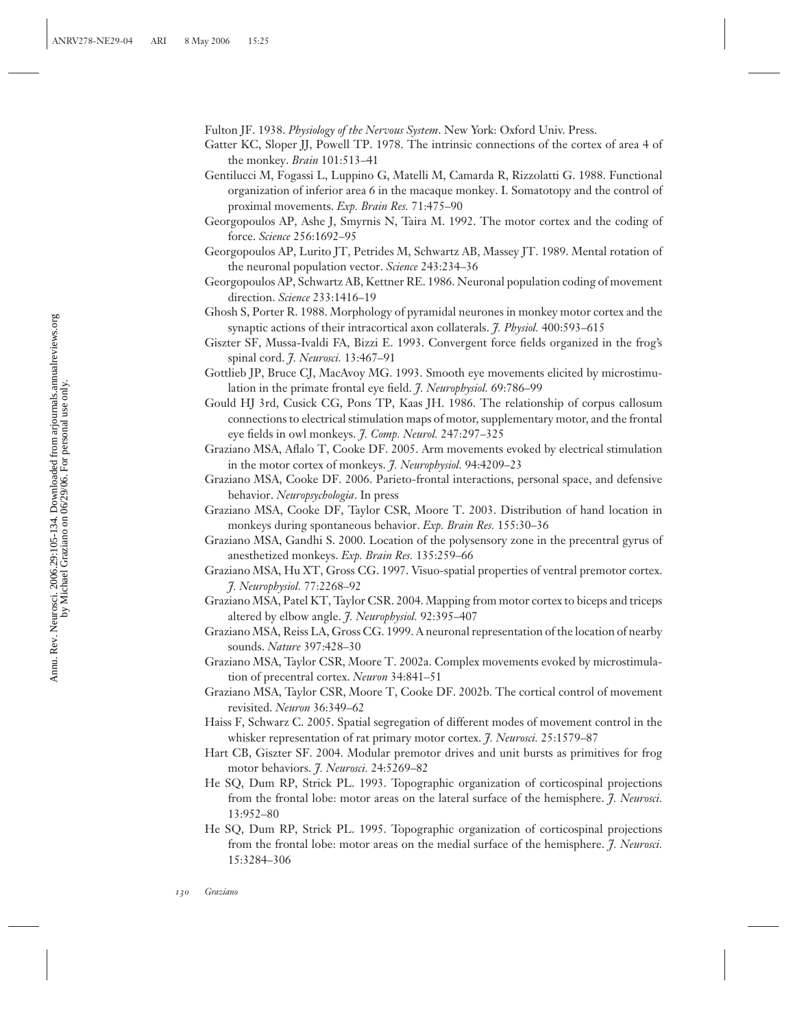Fulton JF. 1938. *Physiology of the Nervous System*. New York: Oxford Univ. Press.

Gatter KC, Sloper JJ, Powell TP. 1978. The intrinsic connections of the cortex of area 4 of the monkey. *Brain* 101:513–41

- Gentilucci M, Fogassi L, Luppino G, Matelli M, Camarda R, Rizzolatti G. 1988. Functional organization of inferior area 6 in the macaque monkey. I. Somatotopy and the control of proximal movements. *Exp. Brain Res.* 71:475–90
- Georgopoulos AP, Ashe J, Smyrnis N, Taira M. 1992. The motor cortex and the coding of force. *Science* 256:1692–95
- Georgopoulos AP, Lurito JT, Petrides M, Schwartz AB, Massey JT. 1989. Mental rotation of the neuronal population vector. *Science* 243:234–36
- Georgopoulos AP, Schwartz AB, Kettner RE. 1986. Neuronal population coding of movement direction. *Science* 233:1416–19
- Ghosh S, Porter R. 1988. Morphology of pyramidal neurones in monkey motor cortex and the synaptic actions of their intracortical axon collaterals. *J. Physiol.* 400:593–615
- Giszter SF, Mussa-Ivaldi FA, Bizzi E. 1993. Convergent force fields organized in the frog's spinal cord. *J. Neurosci.* 13:467–91
- Gottlieb JP, Bruce CJ, MacAvoy MG. 1993. Smooth eye movements elicited by microstimulation in the primate frontal eye field. *J. Neurophysiol.* 69:786–99
- Gould HJ 3rd, Cusick CG, Pons TP, Kaas JH. 1986. The relationship of corpus callosum connections to electrical stimulation maps of motor, supplementary motor, and the frontal eye fields in owl monkeys. *J. Comp. Neurol.* 247:297–325
- Graziano MSA, Aflalo T, Cooke DF. 2005. Arm movements evoked by electrical stimulation in the motor cortex of monkeys. *J. Neurophysiol.* 94:4209–23
- Graziano MSA, Cooke DF. 2006. Parieto-frontal interactions, personal space, and defensive behavior. *Neuropsychologia*. In press
- Graziano MSA, Cooke DF, Taylor CSR, Moore T. 2003. Distribution of hand location in monkeys during spontaneous behavior. *Exp. Brain Res.* 155:30–36
- Graziano MSA, Gandhi S. 2000. Location of the polysensory zone in the precentral gyrus of anesthetized monkeys. *Exp. Brain Res.* 135:259–66
- Graziano MSA, Hu XT, Gross CG. 1997. Visuo-spatial properties of ventral premotor cortex. *J. Neurophysiol.* 77:2268–92
- Graziano MSA, Patel KT, Taylor CSR. 2004. Mapping from motor cortex to biceps and triceps altered by elbow angle. *J. Neurophysiol.* 92:395–407
- Graziano MSA, Reiss LA, Gross CG. 1999. A neuronal representation of the location of nearby sounds. *Nature* 397:428–30
- Graziano MSA, Taylor CSR, Moore T. 2002a. Complex movements evoked by microstimulation of precentral cortex. *Neuron* 34:841–51
- Graziano MSA, Taylor CSR, Moore T, Cooke DF. 2002b. The cortical control of movement revisited. *Neuron* 36:349–62
- Haiss F, Schwarz C. 2005. Spatial segregation of different modes of movement control in the whisker representation of rat primary motor cortex. *J. Neurosci.* 25:1579–87
- Hart CB, Giszter SF. 2004. Modular premotor drives and unit bursts as primitives for frog motor behaviors. *J. Neurosci.* 24:5269–82
- He SQ, Dum RP, Strick PL. 1993. Topographic organization of corticospinal projections from the frontal lobe: motor areas on the lateral surface of the hemisphere. *J. Neurosci.* 13:952–80
- He SQ, Dum RP, Strick PL. 1995. Topographic organization of corticospinal projections from the frontal lobe: motor areas on the medial surface of the hemisphere. *J. Neurosci.* 15:3284–306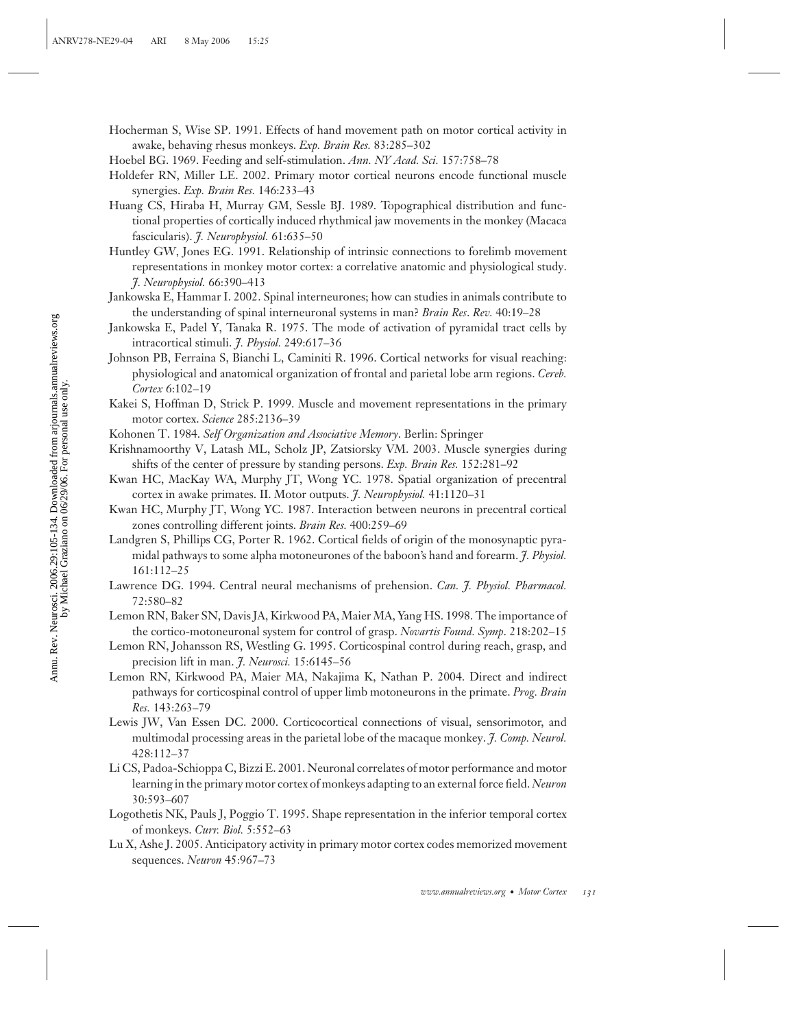- Hocherman S, Wise SP. 1991. Effects of hand movement path on motor cortical activity in awake, behaving rhesus monkeys. *Exp. Brain Res.* 83:285–302
- Hoebel BG. 1969. Feeding and self-stimulation. *Ann. NY Acad. Sci.* 157:758–78
- Holdefer RN, Miller LE. 2002. Primary motor cortical neurons encode functional muscle synergies. *Exp. Brain Res.* 146:233–43
- Huang CS, Hiraba H, Murray GM, Sessle BJ. 1989. Topographical distribution and functional properties of cortically induced rhythmical jaw movements in the monkey (Macaca fascicularis). *J. Neurophysiol.* 61:635–50
- Huntley GW, Jones EG. 1991. Relationship of intrinsic connections to forelimb movement representations in monkey motor cortex: a correlative anatomic and physiological study. *J. Neurophysiol.* 66:390–413
- Jankowska E, Hammar I. 2002. Spinal interneurones; how can studies in animals contribute to the understanding of spinal interneuronal systems in man? *Brain Res*. *Rev.* 40:19–28
- Jankowska E, Padel Y, Tanaka R. 1975. The mode of activation of pyramidal tract cells by intracortical stimuli. *J. Physiol.* 249:617–36
- Johnson PB, Ferraina S, Bianchi L, Caminiti R. 1996. Cortical networks for visual reaching: physiological and anatomical organization of frontal and parietal lobe arm regions. *Cereb. Cortex* 6:102–19
- Kakei S, Hoffman D, Strick P. 1999. Muscle and movement representations in the primary motor cortex. *Science* 285:2136–39
- Kohonen T. 1984. *Self Organization and Associative Memory*. Berlin: Springer
- Krishnamoorthy V, Latash ML, Scholz JP, Zatsiorsky VM. 2003. Muscle synergies during shifts of the center of pressure by standing persons. *Exp. Brain Res.* 152:281–92
- Kwan HC, MacKay WA, Murphy JT, Wong YC. 1978. Spatial organization of precentral cortex in awake primates. II. Motor outputs. *J. Neurophysiol.* 41:1120–31
- Kwan HC, Murphy JT, Wong YC. 1987. Interaction between neurons in precentral cortical zones controlling different joints. *Brain Res.* 400:259–69
- Landgren S, Phillips CG, Porter R. 1962. Cortical fields of origin of the monosynaptic pyramidal pathways to some alpha motoneurones of the baboon's hand and forearm. *J. Physiol.* 161:112–25
- Lawrence DG. 1994. Central neural mechanisms of prehension. *Can. J. Physiol. Pharmacol.* 72:580–82
- Lemon RN, Baker SN, Davis JA, Kirkwood PA, Maier MA, Yang HS. 1998. The importance of the cortico-motoneuronal system for control of grasp. *Novartis Found. Symp*. 218:202–15
- Lemon RN, Johansson RS, Westling G. 1995. Corticospinal control during reach, grasp, and precision lift in man. *J. Neurosci.* 15:6145–56
- Lemon RN, Kirkwood PA, Maier MA, Nakajima K, Nathan P. 2004. Direct and indirect pathways for corticospinal control of upper limb motoneurons in the primate. *Prog. Brain Res.* 143:263–79
- Lewis JW, Van Essen DC. 2000. Corticocortical connections of visual, sensorimotor, and multimodal processing areas in the parietal lobe of the macaque monkey. *J. Comp. Neurol.* 428:112–37
- Li CS, Padoa-Schioppa C, Bizzi E. 2001. Neuronal correlates of motor performance and motor learning in the primary motor cortex of monkeys adapting to an external force field. *Neuron* 30:593–607
- Logothetis NK, Pauls J, Poggio T. 1995. Shape representation in the inferior temporal cortex of monkeys. *Curr. Biol.* 5:552–63
- Lu X, Ashe J. 2005. Anticipatory activity in primary motor cortex codes memorized movement sequences. *Neuron* 45:967–73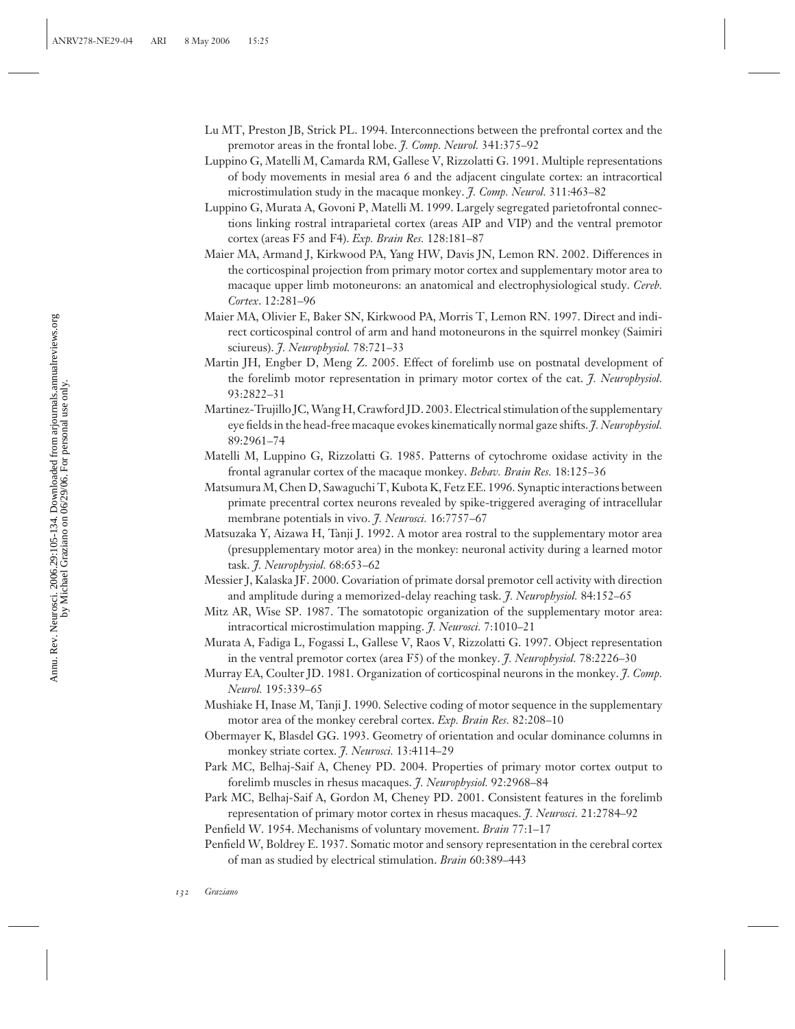- Lu MT, Preston JB, Strick PL. 1994. Interconnections between the prefrontal cortex and the premotor areas in the frontal lobe. *J. Comp. Neurol.* 341:375–92
- Luppino G, Matelli M, Camarda RM, Gallese V, Rizzolatti G. 1991. Multiple representations of body movements in mesial area 6 and the adjacent cingulate cortex: an intracortical microstimulation study in the macaque monkey. *J. Comp. Neurol.* 311:463–82
- Luppino G, Murata A, Govoni P, Matelli M. 1999. Largely segregated parietofrontal connections linking rostral intraparietal cortex (areas AIP and VIP) and the ventral premotor cortex (areas F5 and F4). *Exp. Brain Res.* 128:181–87
- Maier MA, Armand J, Kirkwood PA, Yang HW, Davis JN, Lemon RN. 2002. Differences in the corticospinal projection from primary motor cortex and supplementary motor area to macaque upper limb motoneurons: an anatomical and electrophysiological study. *Cereb. Cortex*. 12:281–96
- Maier MA, Olivier E, Baker SN, Kirkwood PA, Morris T, Lemon RN. 1997. Direct and indirect corticospinal control of arm and hand motoneurons in the squirrel monkey (Saimiri sciureus). *J. Neurophysiol.* 78:721–33
- Martin JH, Engber D, Meng Z. 2005. Effect of forelimb use on postnatal development of the forelimb motor representation in primary motor cortex of the cat. *J. Neurophysiol.* 93:2822–31
- Martinez-Trujillo JC, Wang H, Crawford JD. 2003. Electrical stimulation of the supplementary eye fields in the head-free macaque evokes kinematically normal gaze shifts. *J. Neurophysiol.* 89:2961–74
- Matelli M, Luppino G, Rizzolatti G. 1985. Patterns of cytochrome oxidase activity in the frontal agranular cortex of the macaque monkey. *Behav. Brain Res.* 18:125–36
- Matsumura M, Chen D, Sawaguchi T, Kubota K, Fetz EE. 1996. Synaptic interactions between primate precentral cortex neurons revealed by spike-triggered averaging of intracellular membrane potentials in vivo. *J. Neurosci.* 16:7757–67
- Matsuzaka Y, Aizawa H, Tanji J. 1992. A motor area rostral to the supplementary motor area (presupplementary motor area) in the monkey: neuronal activity during a learned motor task. *J. Neurophysiol.* 68:653–62
- Messier J, Kalaska JF. 2000. Covariation of primate dorsal premotor cell activity with direction and amplitude during a memorized-delay reaching task. *J. Neurophysiol.* 84:152–65
- Mitz AR, Wise SP. 1987. The somatotopic organization of the supplementary motor area: intracortical microstimulation mapping. *J. Neurosci.* 7:1010–21
- Murata A, Fadiga L, Fogassi L, Gallese V, Raos V, Rizzolatti G. 1997. Object representation in the ventral premotor cortex (area F5) of the monkey. *J. Neurophysiol.* 78:2226–30
- Murray EA, Coulter JD. 1981. Organization of corticospinal neurons in the monkey. *J. Comp. Neurol.* 195:339–65
- Mushiake H, Inase M, Tanji J. 1990. Selective coding of motor sequence in the supplementary motor area of the monkey cerebral cortex. *Exp. Brain Res.* 82:208–10
- Obermayer K, Blasdel GG. 1993. Geometry of orientation and ocular dominance columns in monkey striate cortex. *J. Neurosci.* 13:4114–29
- Park MC, Belhaj-Saif A, Cheney PD. 2004. Properties of primary motor cortex output to forelimb muscles in rhesus macaques. *J. Neurophysiol.* 92:2968–84
- Park MC, Belhaj-Saif A, Gordon M, Cheney PD. 2001. Consistent features in the forelimb representation of primary motor cortex in rhesus macaques. *J. Neurosci.* 21:2784–92

Penfield W. 1954. Mechanisms of voluntary movement. *Brain* 77:1–17

Penfield W, Boldrey E. 1937. Somatic motor and sensory representation in the cerebral cortex of man as studied by electrical stimulation. *Brain* 60:389–443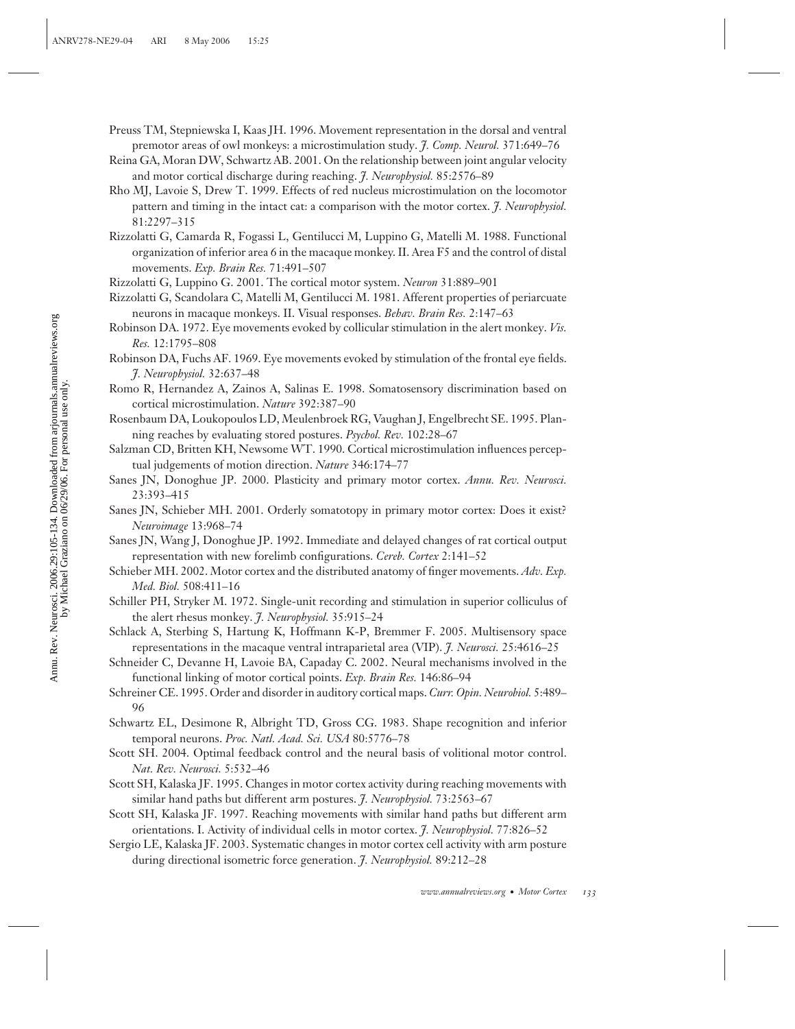- Preuss TM, Stepniewska I, Kaas JH. 1996. Movement representation in the dorsal and ventral premotor areas of owl monkeys: a microstimulation study. *J. Comp. Neurol.* 371:649–76
- Reina GA, Moran DW, Schwartz AB. 2001. On the relationship between joint angular velocity and motor cortical discharge during reaching. *J. Neurophysiol.* 85:2576–89
- Rho MJ, Lavoie S, Drew T. 1999. Effects of red nucleus microstimulation on the locomotor pattern and timing in the intact cat: a comparison with the motor cortex. *J. Neurophysiol.* 81:2297–315
- Rizzolatti G, Camarda R, Fogassi L, Gentilucci M, Luppino G, Matelli M. 1988. Functional organization of inferior area 6 in the macaque monkey. II. Area F5 and the control of distal movements. *Exp. Brain Res.* 71:491–507

Rizzolatti G, Luppino G. 2001. The cortical motor system. *Neuron* 31:889–901

- Rizzolatti G, Scandolara C, Matelli M, Gentilucci M. 1981. Afferent properties of periarcuate neurons in macaque monkeys. II. Visual responses. *Behav. Brain Res.* 2:147–63
- Robinson DA. 1972. Eye movements evoked by collicular stimulation in the alert monkey. *Vis. Res.* 12:1795–808
- Robinson DA, Fuchs AF. 1969. Eye movements evoked by stimulation of the frontal eye fields. *J. Neurophysiol.* 32:637–48
- Romo R, Hernandez A, Zainos A, Salinas E. 1998. Somatosensory discrimination based on cortical microstimulation. *Nature* 392:387–90
- Rosenbaum DA, Loukopoulos LD, Meulenbroek RG, Vaughan J, Engelbrecht SE. 1995. Planning reaches by evaluating stored postures. *Psychol. Rev.* 102:28–67
- Salzman CD, Britten KH, Newsome WT. 1990. Cortical microstimulation influences perceptual judgements of motion direction. *Nature* 346:174–77
- Sanes JN, Donoghue JP. 2000. Plasticity and primary motor cortex. *Annu. Rev. Neurosci.* 23:393–415
- Sanes JN, Schieber MH. 2001. Orderly somatotopy in primary motor cortex: Does it exist? *Neuroimage* 13:968–74
- Sanes JN, Wang J, Donoghue JP. 1992. Immediate and delayed changes of rat cortical output representation with new forelimb configurations. *Cereb. Cortex* 2:141–52
- Schieber MH. 2002. Motor cortex and the distributed anatomy of finger movements. *Adv. Exp. Med. Biol.* 508:411–16
- Schiller PH, Stryker M. 1972. Single-unit recording and stimulation in superior colliculus of the alert rhesus monkey. *J. Neurophysiol.* 35:915–24
- Schlack A, Sterbing S, Hartung K, Hoffmann K-P, Bremmer F. 2005. Multisensory space representations in the macaque ventral intraparietal area (VIP). *J. Neurosci.* 25:4616–25
- Schneider C, Devanne H, Lavoie BA, Capaday C. 2002. Neural mechanisms involved in the functional linking of motor cortical points. *Exp. Brain Res.* 146:86–94
- Schreiner CE. 1995. Order and disorder in auditory cortical maps. *Curr. Opin. Neurobiol.* 5:489– 96
- Schwartz EL, Desimone R, Albright TD, Gross CG. 1983. Shape recognition and inferior temporal neurons. *Proc. Natl. Acad. Sci. USA* 80:5776–78
- Scott SH. 2004. Optimal feedback control and the neural basis of volitional motor control. *Nat. Rev. Neurosci.* 5:532–46
- Scott SH, Kalaska JF. 1995. Changes in motor cortex activity during reaching movements with similar hand paths but different arm postures. *J. Neurophysiol.* 73:2563–67
- Scott SH, Kalaska JF. 1997. Reaching movements with similar hand paths but different arm orientations. I. Activity of individual cells in motor cortex. *J. Neurophysiol.* 77:826–52
- Sergio LE, Kalaska JF. 2003. Systematic changes in motor cortex cell activity with arm posture during directional isometric force generation. *J. Neurophysiol.* 89:212–28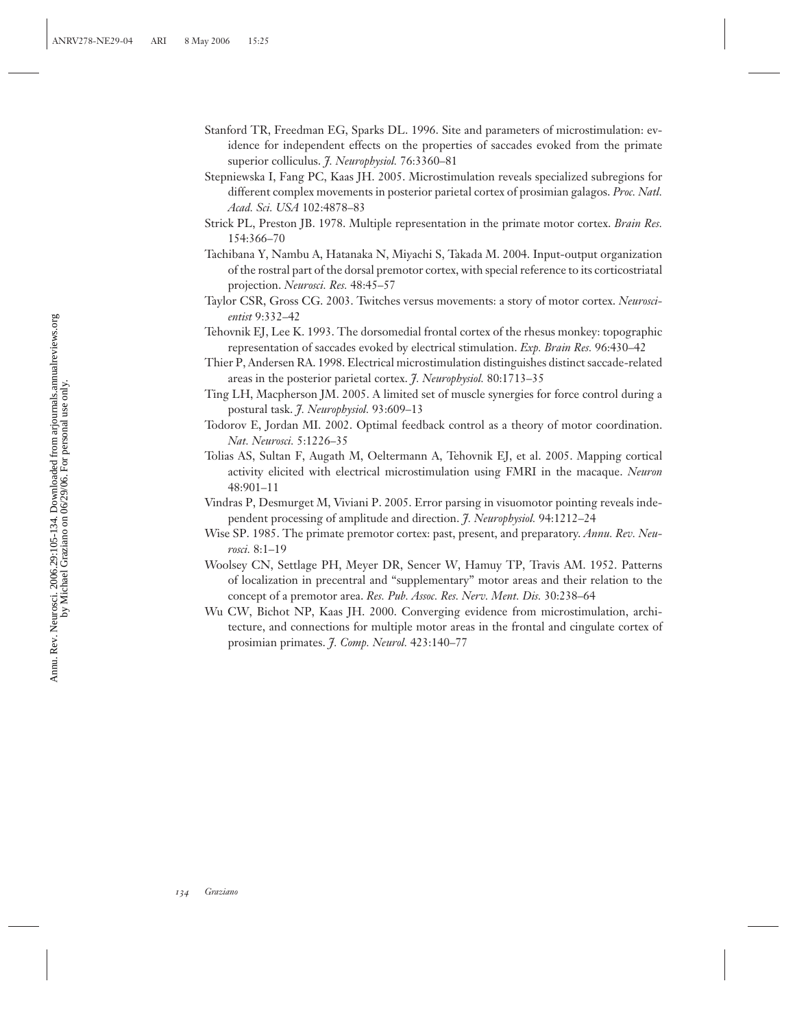- Stanford TR, Freedman EG, Sparks DL. 1996. Site and parameters of microstimulation: evidence for independent effects on the properties of saccades evoked from the primate superior colliculus. *J. Neurophysiol.* 76:3360–81
- Stepniewska I, Fang PC, Kaas JH. 2005. Microstimulation reveals specialized subregions for different complex movements in posterior parietal cortex of prosimian galagos. *Proc. Natl. Acad. Sci. USA* 102:4878–83
- Strick PL, Preston JB. 1978. Multiple representation in the primate motor cortex. *Brain Res.* 154:366–70
- Tachibana Y, Nambu A, Hatanaka N, Miyachi S, Takada M. 2004. Input-output organization of the rostral part of the dorsal premotor cortex, with special reference to its corticostriatal projection. *Neurosci. Res.* 48:45–57
- Taylor CSR, Gross CG. 2003. Twitches versus movements: a story of motor cortex. *Neuroscientist* 9:332–42
- Tehovnik EJ, Lee K. 1993. The dorsomedial frontal cortex of the rhesus monkey: topographic representation of saccades evoked by electrical stimulation. *Exp. Brain Res.* 96:430–42
- Thier P, Andersen RA. 1998. Electrical microstimulation distinguishes distinct saccade-related areas in the posterior parietal cortex. *J. Neurophysiol.* 80:1713–35
- Ting LH, Macpherson JM. 2005. A limited set of muscle synergies for force control during a postural task. *J. Neurophysiol.* 93:609–13
- Todorov E, Jordan MI. 2002. Optimal feedback control as a theory of motor coordination. *Nat. Neurosci.* 5:1226–35
- Tolias AS, Sultan F, Augath M, Oeltermann A, Tehovnik EJ, et al. 2005. Mapping cortical activity elicited with electrical microstimulation using FMRI in the macaque. *Neuron* 48:901–11
- Vindras P, Desmurget M, Viviani P. 2005. Error parsing in visuomotor pointing reveals independent processing of amplitude and direction. *J. Neurophysiol.* 94:1212–24
- Wise SP. 1985. The primate premotor cortex: past, present, and preparatory. *Annu. Rev. Neurosci.* 8:1–19
- Woolsey CN, Settlage PH, Meyer DR, Sencer W, Hamuy TP, Travis AM. 1952. Patterns of localization in precentral and "supplementary" motor areas and their relation to the concept of a premotor area. *Res. Pub. Assoc. Res. Nerv. Ment. Dis.* 30:238–64
- Wu CW, Bichot NP, Kaas JH. 2000. Converging evidence from microstimulation, architecture, and connections for multiple motor areas in the frontal and cingulate cortex of prosimian primates. *J. Comp. Neurol.* 423:140–77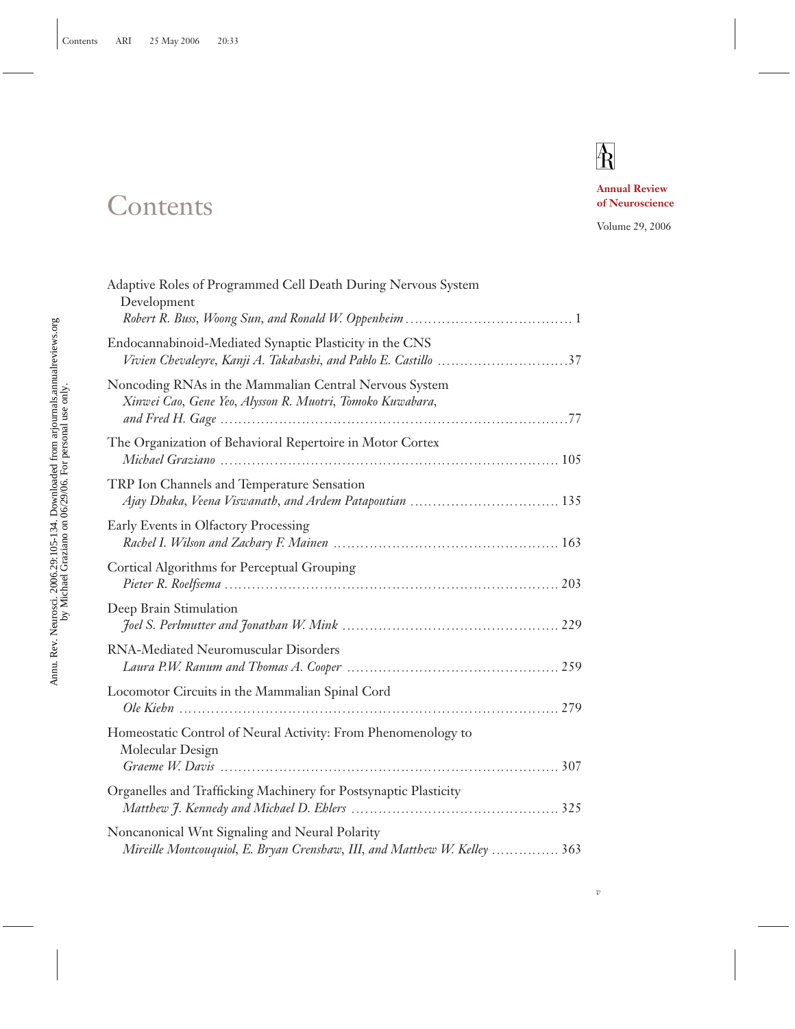# **Contents**

*v*

**Annual Review of Neuroscience**

| Adaptive Roles of Programmed Cell Death During Nervous System<br>Development                                                |  |
|-----------------------------------------------------------------------------------------------------------------------------|--|
| Endocannabinoid-Mediated Synaptic Plasticity in the CNS<br>Vivien Chevaleyre, Kanji A. Takahashi, and Pablo E. Castillo 37  |  |
| Noncoding RNAs in the Mammalian Central Nervous System<br>Xinwei Cao, Gene Yeo, Alysson R. Muotri, Tomoko Kuwabara,         |  |
| The Organization of Behavioral Repertoire in Motor Cortex                                                                   |  |
| TRP Ion Channels and Temperature Sensation                                                                                  |  |
| Early Events in Olfactory Processing                                                                                        |  |
| Cortical Algorithms for Perceptual Grouping                                                                                 |  |
| Deep Brain Stimulation                                                                                                      |  |
| RNA-Mediated Neuromuscular Disorders                                                                                        |  |
| Locomotor Circuits in the Mammalian Spinal Cord                                                                             |  |
| Homeostatic Control of Neural Activity: From Phenomenology to<br>Molecular Design                                           |  |
| Organelles and Trafficking Machinery for Postsynaptic Plasticity                                                            |  |
| Noncanonical Wnt Signaling and Neural Polarity<br>Mireille Montcouquiol, E. Bryan Crenshaw, III, and Matthew W. Kelley  363 |  |
|                                                                                                                             |  |